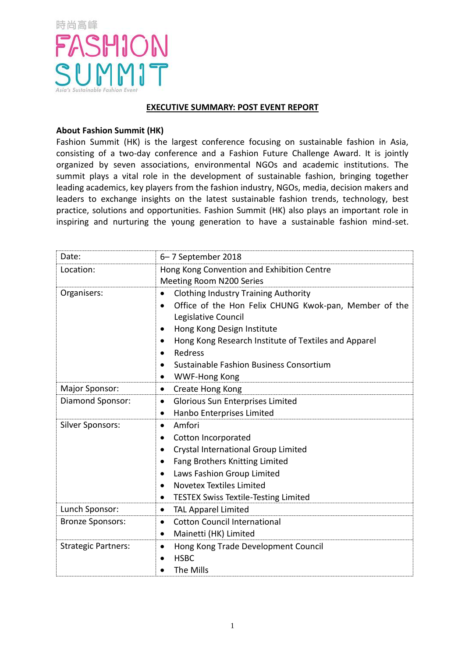

#### **EXECUTIVE SUMMARY: POST EVENT REPORT**

#### **About Fashion Summit (HK)**

Fashion Summit (HK) is the largest conference focusing on sustainable fashion in Asia, consisting of a two-day conference and a Fashion Future Challenge Award. It is jointly organized by seven associations, environmental NGOs and academic institutions. The summit plays a vital role in the development of sustainable fashion, bringing together leading academics, key players from the fashion industry, NGOs, media, decision makers and leaders to exchange insights on the latest sustainable fashion trends, technology, best practice, solutions and opportunities. Fashion Summit (HK) also plays an important role in inspiring and nurturing the young generation to have a sustainable fashion mind-set.

| Date:                      | 6-7 September 2018                                                                                                                                                                                                                                                                                                                                                    |
|----------------------------|-----------------------------------------------------------------------------------------------------------------------------------------------------------------------------------------------------------------------------------------------------------------------------------------------------------------------------------------------------------------------|
| Location:                  | Hong Kong Convention and Exhibition Centre<br>Meeting Room N200 Series                                                                                                                                                                                                                                                                                                |
| Organisers:                | <b>Clothing Industry Training Authority</b><br>$\bullet$<br>Office of the Hon Felix CHUNG Kwok-pan, Member of the<br>$\bullet$<br>Legislative Council<br>Hong Kong Design Institute<br>$\bullet$<br>Hong Kong Research Institute of Textiles and Apparel<br>٠<br>Redress<br>$\bullet$<br>Sustainable Fashion Business Consortium<br><b>WWF-Hong Kong</b><br>$\bullet$ |
| Major Sponsor:             | Create Hong Kong<br>$\bullet$                                                                                                                                                                                                                                                                                                                                         |
| Diamond Sponsor:           | Glorious Sun Enterprises Limited<br>$\bullet$<br>Hanbo Enterprises Limited<br>$\bullet$                                                                                                                                                                                                                                                                               |
| <b>Silver Sponsors:</b>    | Amfori<br>$\bullet$<br>Cotton Incorporated<br>$\bullet$<br>Crystal International Group Limited<br>$\bullet$<br>Fang Brothers Knitting Limited<br>$\bullet$<br>Laws Fashion Group Limited<br>$\bullet$<br><b>Novetex Textiles Limited</b><br>$\bullet$<br><b>TESTEX Swiss Textile-Testing Limited</b><br>$\bullet$                                                     |
| Lunch Sponsor:             | <b>TAL Apparel Limited</b><br>$\bullet$                                                                                                                                                                                                                                                                                                                               |
| <b>Bronze Sponsors:</b>    | <b>Cotton Council International</b><br>$\bullet$<br>Mainetti (HK) Limited<br>$\bullet$                                                                                                                                                                                                                                                                                |
| <b>Strategic Partners:</b> | Hong Kong Trade Development Council<br>$\bullet$<br><b>HSBC</b><br>The Mills                                                                                                                                                                                                                                                                                          |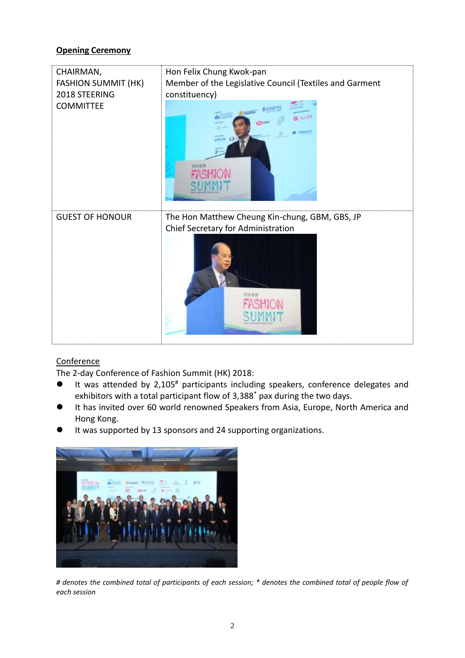## **Opening Ceremony**

| CHAIRMAN,<br><b>FASHION SUMMIT (HK)</b><br>2018 STEERING<br><b>COMMITTEE</b> | Hon Felix Chung Kwok-pan<br>Member of the Legislative Council (Textiles and Garment<br>constituency) |
|------------------------------------------------------------------------------|------------------------------------------------------------------------------------------------------|
| <b>GUEST OF HONOUR</b>                                                       | The Hon Matthew Cheung Kin-chung, GBM, GBS, JP<br>Chief Secretary for Administration                 |

## **Conference**

The 2-day Conference of Fashion Summit (HK) 2018:

- It was attended by 2,105# participants including speakers, conference delegates and exhibitors with a total participant flow of 3,388\* pax during the two days.
- ⚫ It has invited over 60 world renowned Speakers from Asia, Europe, North America and Hong Kong.
- It was supported by 13 sponsors and 24 supporting organizations.



*# denotes the combined total of participants of each session; \* denotes the combined total of people flow of each session*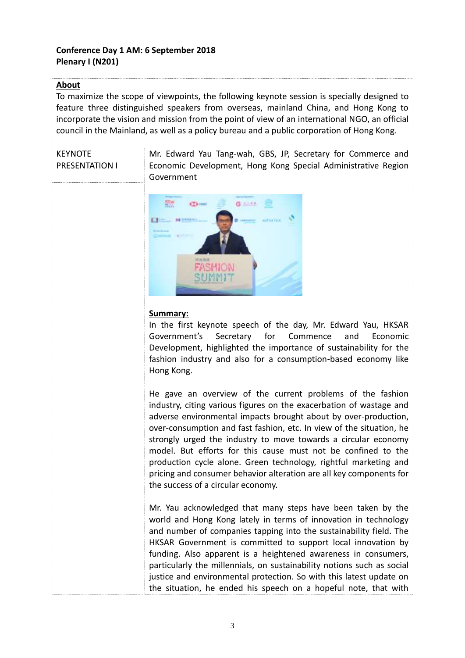## **Conference Day 1 AM: 6 September 2018 Plenary I (N201)**

## **About**

To maximize the scope of viewpoints, the following keynote session is specially designed to feature three distinguished speakers from overseas, mainland China, and Hong Kong to incorporate the vision and mission from the point of view of an international NGO, an official council in the Mainland, as well as a policy bureau and a public corporation of Hong Kong.

| <b>KEYNOTE</b>        | Mr. Edward Yau Tang-wah, GBS, JP, Secretary for Commerce and  |
|-----------------------|---------------------------------------------------------------|
| <b>PRESENTATION I</b> | Economic Development, Hong Kong Special Administrative Region |
|                       | Government                                                    |



## **Summary:**

In the first keynote speech of the day, Mr. Edward Yau, HKSAR Government's Secretary for Commence and Economic Development, highlighted the importance of sustainability for the fashion industry and also for a consumption-based economy like Hong Kong.

He gave an overview of the current problems of the fashion industry, citing various figures on the exacerbation of wastage and adverse environmental impacts brought about by over-production, over-consumption and fast fashion, etc. In view of the situation, he strongly urged the industry to move towards a circular economy model. But efforts for this cause must not be confined to the production cycle alone. Green technology, rightful marketing and pricing and consumer behavior alteration are all key components for the success of a circular economy.

Mr. Yau acknowledged that many steps have been taken by the world and Hong Kong lately in terms of innovation in technology and number of companies tapping into the sustainability field. The HKSAR Government is committed to support local innovation by funding. Also apparent is a heightened awareness in consumers, particularly the millennials, on sustainability notions such as social justice and environmental protection. So with this latest update on the situation, he ended his speech on a hopeful note, that with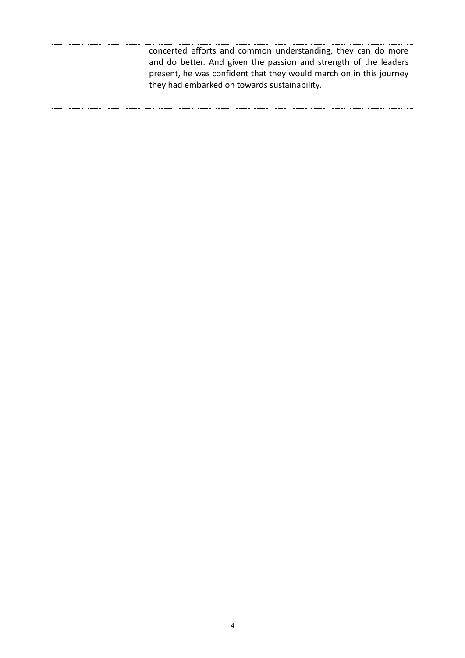|  | concerted efforts and common understanding, they can do more<br>and do better. And given the passion and strength of the leaders<br>present, he was confident that they would march on in this journey<br>they had embarked on towards sustainability. |
|--|--------------------------------------------------------------------------------------------------------------------------------------------------------------------------------------------------------------------------------------------------------|
|--|--------------------------------------------------------------------------------------------------------------------------------------------------------------------------------------------------------------------------------------------------------|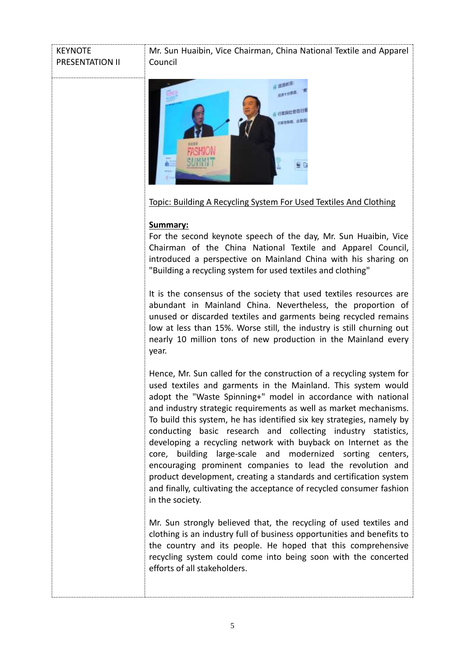#### **KEYNOTE** PRESENTATION II

Mr. Sun Huaibin, Vice Chairman, China National Textile and Apparel Council



Topic: Building A Recycling System For Used Textiles And Clothing

## **Summary:**

For the second keynote speech of the day, Mr. Sun Huaibin, Vice Chairman of the China National Textile and Apparel Council, introduced a perspective on Mainland China with his sharing on "Building a recycling system for used textiles and clothing"

It is the consensus of the society that used textiles resources are abundant in Mainland China. Nevertheless, the proportion of unused or discarded textiles and garments being recycled remains low at less than 15%. Worse still, the industry is still churning out nearly 10 million tons of new production in the Mainland every year.

Hence, Mr. Sun called for the construction of a recycling system for used textiles and garments in the Mainland. This system would adopt the "Waste Spinning+" model in accordance with national and industry strategic requirements as well as market mechanisms. To build this system, he has identified six key strategies, namely by conducting basic research and collecting industry statistics, developing a recycling network with buyback on Internet as the core, building large-scale and modernized sorting centers, encouraging prominent companies to lead the revolution and product development, creating a standards and certification system and finally, cultivating the acceptance of recycled consumer fashion in the society.

Mr. Sun strongly believed that, the recycling of used textiles and clothing is an industry full of business opportunities and benefits to the country and its people. He hoped that this comprehensive recycling system could come into being soon with the concerted efforts of all stakeholders.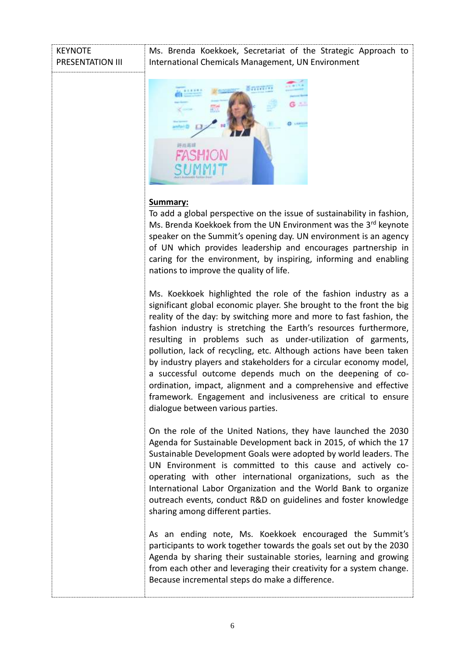#### **KEYNOTE** PRESENTATION III

Ms. Brenda Koekkoek, Secretariat of the Strategic Approach to International Chemicals Management, UN Environment



# **Summary:**

To add a global perspective on the issue of sustainability in fashion, Ms. Brenda Koekkoek from the UN Environment was the 3rd keynote speaker on the Summit's opening day. UN environment is an agency of UN which provides leadership and encourages partnership in caring for the environment, by inspiring, informing and enabling nations to improve the quality of life.

Ms. Koekkoek highlighted the role of the fashion industry as a significant global economic player. She brought to the front the big reality of the day: by switching more and more to fast fashion, the fashion industry is stretching the Earth's resources furthermore, resulting in problems such as under-utilization of garments, pollution, lack of recycling, etc. Although actions have been taken by industry players and stakeholders for a circular economy model, a successful outcome depends much on the deepening of coordination, impact, alignment and a comprehensive and effective framework. Engagement and inclusiveness are critical to ensure dialogue between various parties.

On the role of the United Nations, they have launched the 2030 Agenda for Sustainable Development back in 2015, of which the 17 Sustainable Development Goals were adopted by world leaders. The UN Environment is committed to this cause and actively cooperating with other international organizations, such as the International Labor Organization and the World Bank to organize outreach events, conduct R&D on guidelines and foster knowledge sharing among different parties.

As an ending note, Ms. Koekkoek encouraged the Summit's participants to work together towards the goals set out by the 2030 Agenda by sharing their sustainable stories, learning and growing from each other and leveraging their creativity for a system change. Because incremental steps do make a difference.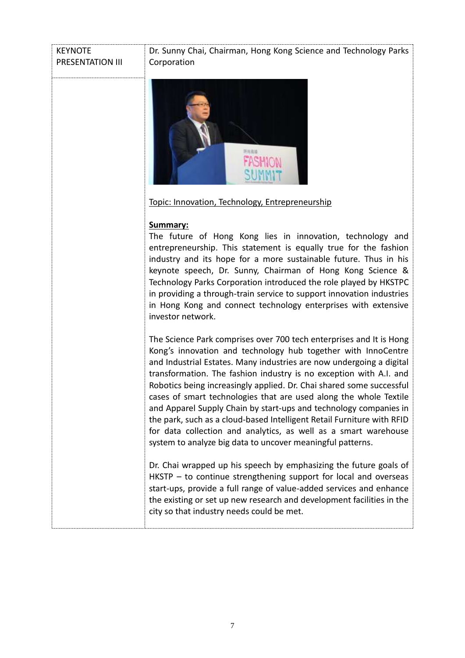#### **KEYNOTE** PRESENTATION III

Dr. Sunny Chai, Chairman, Hong Kong Science and Technology Parks Corporation



## Topic: Innovation, Technology, Entrepreneurship

## **Summary:**

The future of Hong Kong lies in innovation, technology and entrepreneurship. This statement is equally true for the fashion industry and its hope for a more sustainable future. Thus in his keynote speech, Dr. Sunny, Chairman of Hong Kong Science & Technology Parks Corporation introduced the role played by HKSTPC in providing a through-train service to support innovation industries in Hong Kong and connect technology enterprises with extensive investor network.

The Science Park comprises over 700 tech enterprises and It is Hong Kong's innovation and technology hub together with InnoCentre and Industrial Estates. Many industries are now undergoing a digital transformation. The fashion industry is no exception with A.I. and Robotics being increasingly applied. Dr. Chai shared some successful cases of smart technologies that are used along the whole Textile and Apparel Supply Chain by start-ups and technology companies in the park, such as a cloud-based Intelligent Retail Furniture with RFID for data collection and analytics, as well as a smart warehouse system to analyze big data to uncover meaningful patterns.

Dr. Chai wrapped up his speech by emphasizing the future goals of HKSTP – to continue strengthening support for local and overseas start-ups, provide a full range of value-added services and enhance the existing or set up new research and development facilities in the city so that industry needs could be met.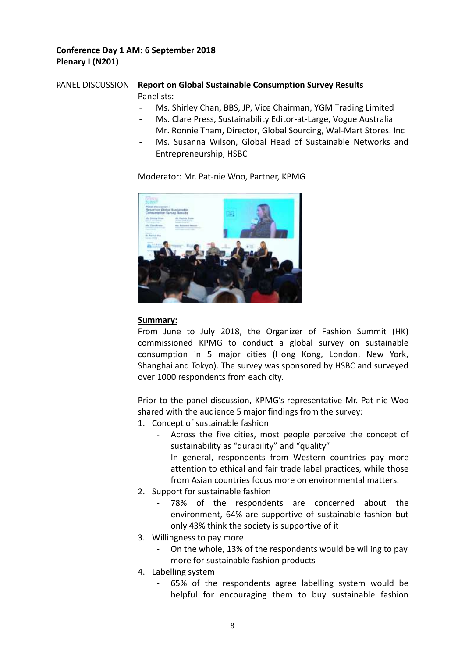# **Conference Day 1 AM: 6 September 2018 Plenary I (N201)**

| PANEL DISCUSSION | <b>Report on Global Sustainable Consumption Survey Results</b>                                                                                                                                                                            |
|------------------|-------------------------------------------------------------------------------------------------------------------------------------------------------------------------------------------------------------------------------------------|
|                  | Panelists:                                                                                                                                                                                                                                |
|                  | Ms. Shirley Chan, BBS, JP, Vice Chairman, YGM Trading Limited                                                                                                                                                                             |
|                  | Ms. Clare Press, Sustainability Editor-at-Large, Vogue Australia                                                                                                                                                                          |
|                  | Mr. Ronnie Tham, Director, Global Sourcing, Wal-Mart Stores. Inc                                                                                                                                                                          |
|                  | Ms. Susanna Wilson, Global Head of Sustainable Networks and                                                                                                                                                                               |
|                  | Entrepreneurship, HSBC                                                                                                                                                                                                                    |
|                  | Moderator: Mr. Pat-nie Woo, Partner, KPMG                                                                                                                                                                                                 |
|                  | #1 um Globud Nandarhotd                                                                                                                                                                                                                   |
|                  | Summary:                                                                                                                                                                                                                                  |
|                  | From June to July 2018, the Organizer of Fashion Summit (HK)                                                                                                                                                                              |
|                  | commissioned KPMG to conduct a global survey on sustainable<br>consumption in 5 major cities (Hong Kong, London, New York,<br>Shanghai and Tokyo). The survey was sponsored by HSBC and surveyed<br>over 1000 respondents from each city. |
|                  | Prior to the panel discussion, KPMG's representative Mr. Pat-nie Woo                                                                                                                                                                      |
|                  | shared with the audience 5 major findings from the survey:                                                                                                                                                                                |
|                  | 1. Concept of sustainable fashion                                                                                                                                                                                                         |
|                  | Across the five cities, most people perceive the concept of<br>sustainability as "durability" and "quality"                                                                                                                               |
|                  | In general, respondents from Western countries pay more                                                                                                                                                                                   |
|                  | attention to ethical and fair trade label practices, while those                                                                                                                                                                          |
|                  | from Asian countries focus more on environmental matters.                                                                                                                                                                                 |
|                  | 2. Support for sustainable fashion                                                                                                                                                                                                        |
|                  | 78% of the respondents are concerned<br>about<br>the                                                                                                                                                                                      |
|                  | environment, 64% are supportive of sustainable fashion but                                                                                                                                                                                |
|                  | only 43% think the society is supportive of it<br>3. Willingness to pay more                                                                                                                                                              |
|                  | On the whole, 13% of the respondents would be willing to pay                                                                                                                                                                              |
|                  | more for sustainable fashion products                                                                                                                                                                                                     |
|                  | 4. Labelling system                                                                                                                                                                                                                       |
|                  | 65% of the respondents agree labelling system would be                                                                                                                                                                                    |
|                  | helpful for encouraging them to buy sustainable fashion                                                                                                                                                                                   |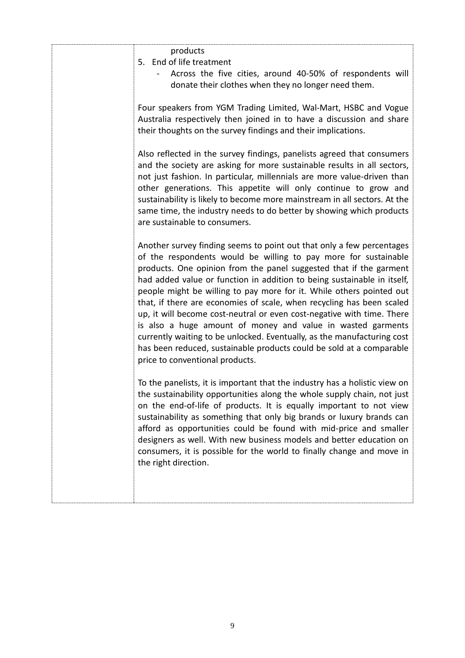| products<br>5. End of life treatment<br>Across the five cities, around 40-50% of respondents will<br>donate their clothes when they no longer need them.                                                                                                                                                                                                                                                                                                                                                                                                                                                                                                                                                                                                                  |
|---------------------------------------------------------------------------------------------------------------------------------------------------------------------------------------------------------------------------------------------------------------------------------------------------------------------------------------------------------------------------------------------------------------------------------------------------------------------------------------------------------------------------------------------------------------------------------------------------------------------------------------------------------------------------------------------------------------------------------------------------------------------------|
| Four speakers from YGM Trading Limited, Wal-Mart, HSBC and Vogue<br>Australia respectively then joined in to have a discussion and share<br>their thoughts on the survey findings and their implications.                                                                                                                                                                                                                                                                                                                                                                                                                                                                                                                                                                 |
| Also reflected in the survey findings, panelists agreed that consumers<br>and the society are asking for more sustainable results in all sectors,<br>not just fashion. In particular, millennials are more value-driven than<br>other generations. This appetite will only continue to grow and<br>sustainability is likely to become more mainstream in all sectors. At the<br>same time, the industry needs to do better by showing which products<br>are sustainable to consumers.                                                                                                                                                                                                                                                                                     |
| Another survey finding seems to point out that only a few percentages<br>of the respondents would be willing to pay more for sustainable<br>products. One opinion from the panel suggested that if the garment<br>had added value or function in addition to being sustainable in itself,<br>people might be willing to pay more for it. While others pointed out<br>that, if there are economies of scale, when recycling has been scaled<br>up, it will become cost-neutral or even cost-negative with time. There<br>is also a huge amount of money and value in wasted garments<br>currently waiting to be unlocked. Eventually, as the manufacturing cost<br>has been reduced, sustainable products could be sold at a comparable<br>price to conventional products. |
| To the panelists, it is important that the industry has a holistic view on<br>the sustainability opportunities along the whole supply chain, not just<br>on the end-of-life of products. It is equally important to not view<br>sustainability as something that only big brands or luxury brands can<br>afford as opportunities could be found with mid-price and smaller<br>designers as well. With new business models and better education on<br>consumers, it is possible for the world to finally change and move in<br>the right direction.                                                                                                                                                                                                                        |
|                                                                                                                                                                                                                                                                                                                                                                                                                                                                                                                                                                                                                                                                                                                                                                           |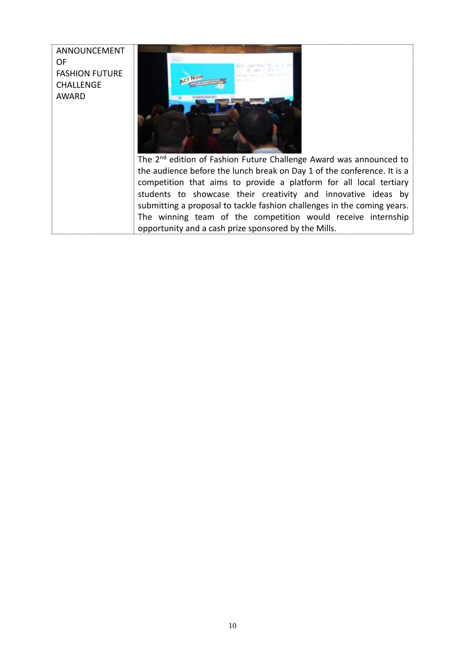ANNOUNCEMENT OF FASHION FUTURE CHALLENGE AWARD The 2<sup>nd</sup> edition of Fashion Future Challenge Award was announced to the audience before the lunch break on Day 1 of the conference. It is a competition that aims to provide a platform for all local tertiary students to showcase their creativity and innovative ideas by submitting a proposal to tackle fashion challenges in the coming years. The winning team of the competition would receive internship opportunity and a cash prize sponsored by the Mills.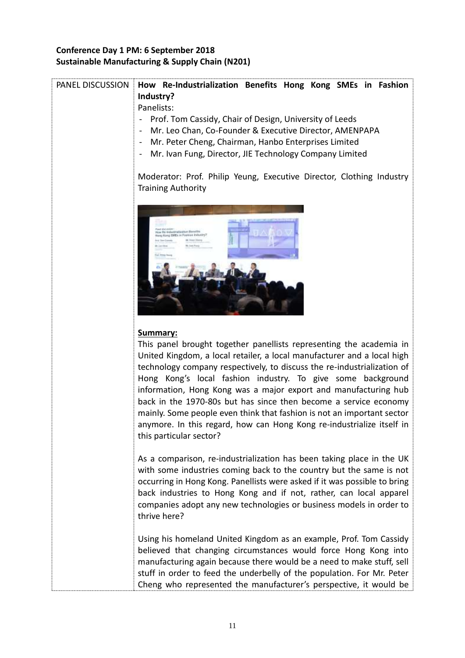# **Conference Day 1 PM: 6 September 2018 Sustainable Manufacturing & Supply Chain (N201)**

| How Re-Industrialization Benefits Hong Kong SMEs in Fashion<br>PANEL DISCUSSION |  |
|---------------------------------------------------------------------------------|--|
|                                                                                 |  |
| Industry?                                                                       |  |
| Panelists:                                                                      |  |
| Prof. Tom Cassidy, Chair of Design, University of Leeds                         |  |
| Mr. Leo Chan, Co-Founder & Executive Director, AMENPAPA<br>$\blacksquare$       |  |
| Mr. Peter Cheng, Chairman, Hanbo Enterprises Limited<br>$\blacksquare$          |  |
| Mr. Ivan Fung, Director, JIE Technology Company Limited                         |  |
|                                                                                 |  |
| Moderator: Prof. Philip Yeung, Executive Director, Clothing Industry            |  |
| <b>Training Authority</b>                                                       |  |
|                                                                                 |  |
|                                                                                 |  |
|                                                                                 |  |
|                                                                                 |  |
|                                                                                 |  |
|                                                                                 |  |
|                                                                                 |  |
|                                                                                 |  |
|                                                                                 |  |
|                                                                                 |  |
|                                                                                 |  |
|                                                                                 |  |
| Summary:                                                                        |  |
| This panel brought together panellists representing the academia in             |  |
| United Kingdom, a local retailer, a local manufacturer and a local high         |  |
| technology company respectively, to discuss the re-industrialization of         |  |
| Hong Kong's local fashion industry. To give some background                     |  |
| information, Hong Kong was a major export and manufacturing hub                 |  |
| back in the 1970-80s but has since then become a service economy                |  |
| mainly. Some people even think that fashion is not an important sector          |  |
| anymore. In this regard, how can Hong Kong re-industrialize itself in           |  |
| this particular sector?                                                         |  |
|                                                                                 |  |
| As a comparison, re-industrialization has been taking place in the UK           |  |
| with some industries coming back to the country but the same is not             |  |
| occurring in Hong Kong. Panellists were asked if it was possible to bring       |  |
| back industries to Hong Kong and if not, rather, can local apparel              |  |
| companies adopt any new technologies or business models in order to             |  |
| thrive here?                                                                    |  |
|                                                                                 |  |
| Using his homeland United Kingdom as an example, Prof. Tom Cassidy              |  |
| believed that changing circumstances would force Hong Kong into                 |  |
| manufacturing again because there would be a need to make stuff, sell           |  |
| stuff in order to feed the underbelly of the population. For Mr. Peter          |  |
| Cheng who represented the manufacturer's perspective, it would be               |  |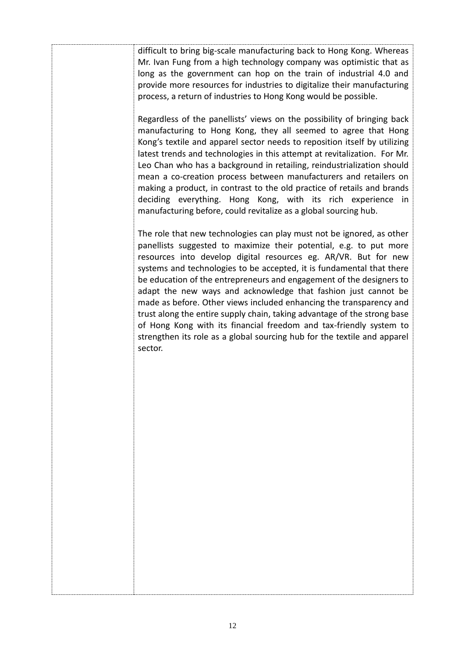difficult to bring big-scale manufacturing back to Hong Kong. Whereas Mr. Ivan Fung from a high technology company was optimistic that as long as the government can hop on the train of industrial 4.0 and provide more resources for industries to digitalize their manufacturing process, a return of industries to Hong Kong would be possible.

Regardless of the panellists' views on the possibility of bringing back manufacturing to Hong Kong, they all seemed to agree that Hong Kong's textile and apparel sector needs to reposition itself by utilizing latest trends and technologies in this attempt at revitalization. For Mr. Leo Chan who has a background in retailing, reindustrialization should mean a co-creation process between manufacturers and retailers on making a product, in contrast to the old practice of retails and brands deciding everything. Hong Kong, with its rich experience in manufacturing before, could revitalize as a global sourcing hub.

The role that new technologies can play must not be ignored, as other panellists suggested to maximize their potential, e.g. to put more resources into develop digital resources eg. AR/VR. But for new systems and technologies to be accepted, it is fundamental that there be education of the entrepreneurs and engagement of the designers to adapt the new ways and acknowledge that fashion just cannot be made as before. Other views included enhancing the transparency and trust along the entire supply chain, taking advantage of the strong base of Hong Kong with its financial freedom and tax-friendly system to strengthen its role as a global sourcing hub for the textile and apparel sector.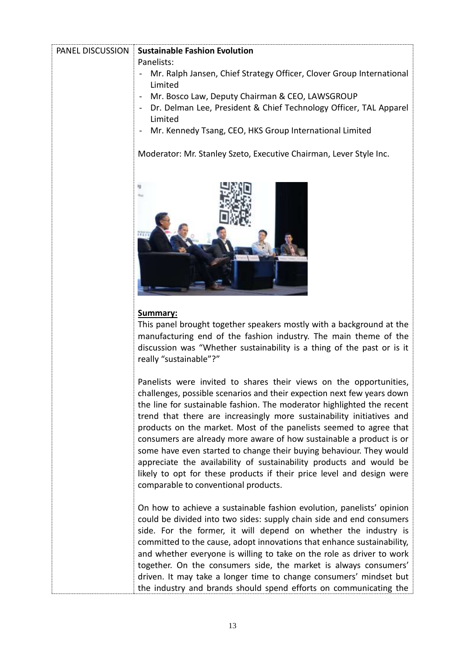# PANEL DISCUSSION **Sustainable Fashion Evolution** Panelists: - Mr. Ralph Jansen, Chief Strategy Officer, Clover Group International Limited

- Mr. Bosco Law, Deputy Chairman & CEO, LAWSGROUP
- Dr. Delman Lee, President & Chief Technology Officer, TAL Apparel Limited
- Mr. Kennedy Tsang, CEO, HKS Group International Limited

Moderator: Mr. Stanley Szeto, Executive Chairman, Lever Style Inc.



## **Summary:**

This panel brought together speakers mostly with a background at the manufacturing end of the fashion industry. The main theme of the discussion was "Whether sustainability is a thing of the past or is it really "sustainable"?"

Panelists were invited to shares their views on the opportunities, challenges, possible scenarios and their expection next few years down the line for sustainable fashion. The moderator highlighted the recent trend that there are increasingly more sustainability initiatives and products on the market. Most of the panelists seemed to agree that consumers are already more aware of how sustainable a product is or some have even started to change their buying behaviour. They would appreciate the availability of sustainability products and would be likely to opt for these products if their price level and design were comparable to conventional products.

On how to achieve a sustainable fashion evolution, panelists' opinion could be divided into two sides: supply chain side and end consumers side. For the former, it will depend on whether the industry is committed to the cause, adopt innovations that enhance sustainability, and whether everyone is willing to take on the role as driver to work together. On the consumers side, the market is always consumers' driven. It may take a longer time to change consumers' mindset but the industry and brands should spend efforts on communicating the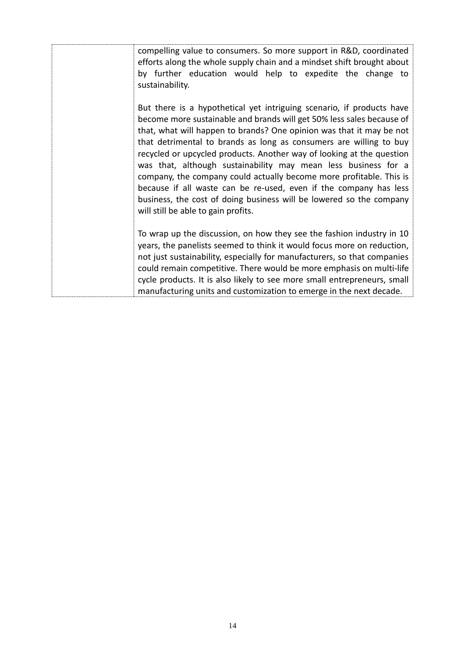compelling value to consumers. So more support in R&D, coordinated efforts along the whole supply chain and a mindset shift brought about by further education would help to expedite the change to sustainability. But there is a hypothetical yet intriguing scenario, if products have become more sustainable and brands will get 50% less sales because of that, what will happen to brands? One opinion was that it may be not that detrimental to brands as long as consumers are willing to buy recycled or upcycled products. Another way of looking at the question was that, although sustainability may mean less business for a company, the company could actually become more profitable. This is because if all waste can be re-used, even if the company has less business, the cost of doing business will be lowered so the company will still be able to gain profits. To wrap up the discussion, on how they see the fashion industry in 10 years, the panelists seemed to think it would focus more on reduction, not just sustainability, especially for manufacturers, so that companies could remain competitive. There would be more emphasis on multi-life cycle products. It is also likely to see more small entrepreneurs, small manufacturing units and customization to emerge in the next decade.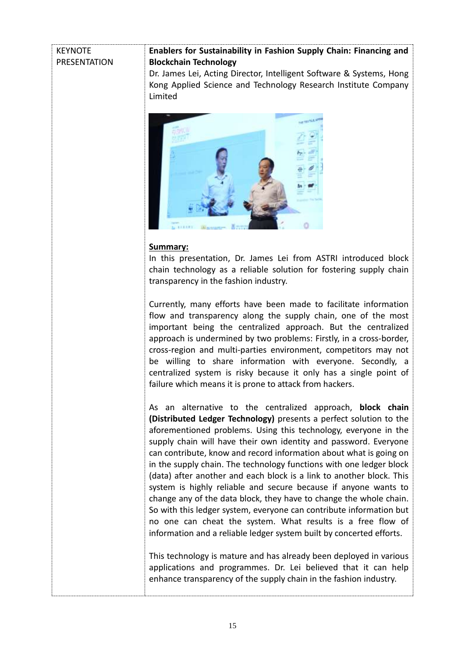#### **KEYNOTE** PRESENTATION

# **Enablers for Sustainability in Fashion Supply Chain: Financing and Blockchain Technology**

Dr. James Lei, Acting Director, Intelligent Software & Systems, Hong Kong Applied Science and Technology Research Institute Company Limited



## **Summary:**

In this presentation, Dr. James Lei from ASTRI introduced block chain technology as a reliable solution for fostering supply chain transparency in the fashion industry.

Currently, many efforts have been made to facilitate information flow and transparency along the supply chain, one of the most important being the centralized approach. But the centralized approach is undermined by two problems: Firstly, in a cross-border, cross-region and multi-parties environment, competitors may not be willing to share information with everyone. Secondly, a centralized system is risky because it only has a single point of failure which means it is prone to attack from hackers.

As an alternative to the centralized approach, **block chain (Distributed Ledger Technology)** presents a perfect solution to the aforementioned problems. Using this technology, everyone in the supply chain will have their own identity and password. Everyone can contribute, know and record information about what is going on in the supply chain. The technology functions with one ledger block (data) after another and each block is a link to another block. This system is highly reliable and secure because if anyone wants to change any of the data block, they have to change the whole chain. So with this ledger system, everyone can contribute information but no one can cheat the system. What results is a free flow of information and a reliable ledger system built by concerted efforts.

This technology is mature and has already been deployed in various applications and programmes. Dr. Lei believed that it can help enhance transparency of the supply chain in the fashion industry.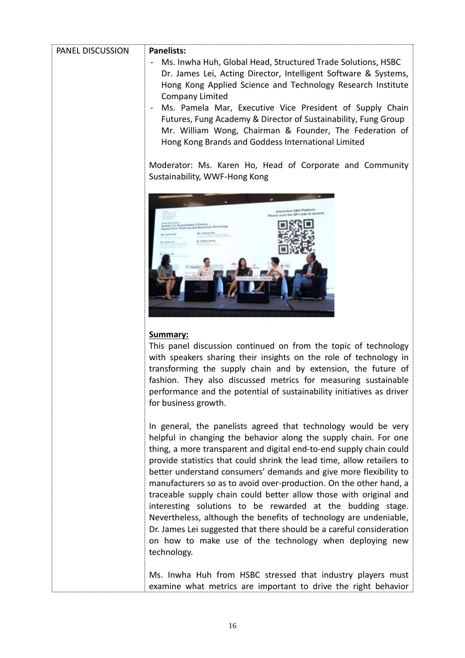| PANEL DISCUSSION | <b>Panelists:</b>                                                                                                                                                                                                                                                                                                                                                                                                                                                                                                                                                                                                                                                                                                                                                         |
|------------------|---------------------------------------------------------------------------------------------------------------------------------------------------------------------------------------------------------------------------------------------------------------------------------------------------------------------------------------------------------------------------------------------------------------------------------------------------------------------------------------------------------------------------------------------------------------------------------------------------------------------------------------------------------------------------------------------------------------------------------------------------------------------------|
|                  | Ms. Inwha Huh, Global Head, Structured Trade Solutions, HSBC<br>Dr. James Lei, Acting Director, Intelligent Software & Systems,<br>Hong Kong Applied Science and Technology Research Institute<br>Company Limited<br>Ms. Pamela Mar, Executive Vice President of Supply Chain<br>Futures, Fung Academy & Director of Sustainability, Fung Group<br>Mr. William Wong, Chairman & Founder, The Federation of<br>Hong Kong Brands and Goddess International Limited                                                                                                                                                                                                                                                                                                          |
|                  | Moderator: Ms. Karen Ho, Head of Corporate and Community<br>Sustainability, WWF-Hong Kong                                                                                                                                                                                                                                                                                                                                                                                                                                                                                                                                                                                                                                                                                 |
|                  | <b>Interactive G&amp;A Platform</b><br>Please scen the DR code to second                                                                                                                                                                                                                                                                                                                                                                                                                                                                                                                                                                                                                                                                                                  |
|                  | <b>Summary:</b><br>This panel discussion continued on from the topic of technology<br>with speakers sharing their insights on the role of technology in<br>transforming the supply chain and by extension, the future of<br>fashion. They also discussed metrics for measuring sustainable<br>performance and the potential of sustainability initiatives as driver<br>for business growth.                                                                                                                                                                                                                                                                                                                                                                               |
|                  | In general, the panelists agreed that technology would be very<br>helpful in changing the behavior along the supply chain. For one<br>thing, a more transparent and digital end-to-end supply chain could<br>provide statistics that could shrink the lead time, allow retailers to<br>better understand consumers' demands and give more flexibility to<br>manufacturers so as to avoid over-production. On the other hand, a<br>traceable supply chain could better allow those with original and<br>interesting solutions to be rewarded at the budding stage.<br>Nevertheless, although the benefits of technology are undeniable,<br>Dr. James Lei suggested that there should be a careful consideration<br>on how to make use of the technology when deploying new |

Ms. Inwha Huh from HSBC stressed that industry players must examine what metrics are important to drive the right behavior

technology.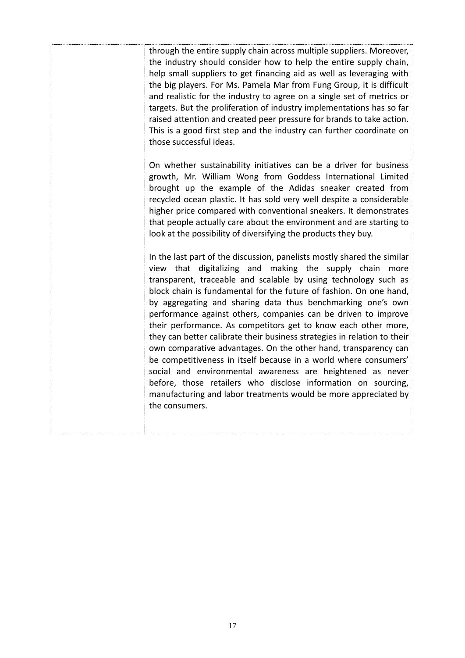through the entire supply chain across multiple suppliers. Moreover, the industry should consider how to help the entire supply chain, help small suppliers to get financing aid as well as leveraging with the big players. For Ms. Pamela Mar from Fung Group, it is difficult and realistic for the industry to agree on a single set of metrics or targets. But the proliferation of industry implementations has so far raised attention and created peer pressure for brands to take action. This is a good first step and the industry can further coordinate on those successful ideas.

On whether sustainability initiatives can be a driver for business growth, Mr. William Wong from Goddess International Limited brought up the example of the Adidas sneaker created from recycled ocean plastic. It has sold very well despite a considerable higher price compared with conventional sneakers. It demonstrates that people actually care about the environment and are starting to look at the possibility of diversifying the products they buy.

In the last part of the discussion, panelists mostly shared the similar view that digitalizing and making the supply chain more transparent, traceable and scalable by using technology such as block chain is fundamental for the future of fashion. On one hand, by aggregating and sharing data thus benchmarking one's own performance against others, companies can be driven to improve their performance. As competitors get to know each other more, they can better calibrate their business strategies in relation to their own comparative advantages. On the other hand, transparency can be competitiveness in itself because in a world where consumers' social and environmental awareness are heightened as never before, those retailers who disclose information on sourcing, manufacturing and labor treatments would be more appreciated by the consumers.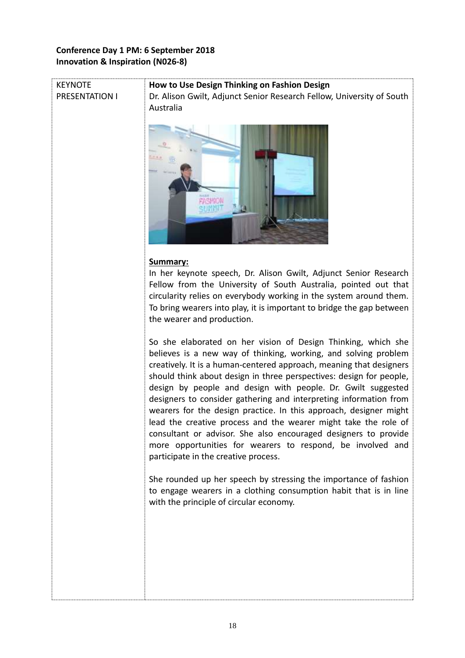## **Conference Day 1 PM: 6 September 2018 Innovation & Inspiration (N026-8)**

## **KEYNOTE** PRESENTATION I

**How to Use Design Thinking on Fashion Design** Dr. Alison Gwilt, Adjunct Senior Research Fellow, University of South Australia



## **Summary:**

In her keynote speech, Dr. Alison Gwilt, Adjunct Senior Research Fellow from the University of South Australia, pointed out that circularity relies on everybody working in the system around them. To bring wearers into play, it is important to bridge the gap between the wearer and production.

So she elaborated on her vision of Design Thinking, which she believes is a new way of thinking, working, and solving problem creatively. It is a human-centered approach, meaning that designers should think about design in three perspectives: design for people, design by people and design with people. Dr. Gwilt suggested designers to consider gathering and interpreting information from wearers for the design practice. In this approach, designer might lead the creative process and the wearer might take the role of consultant or advisor. She also encouraged designers to provide more opportunities for wearers to respond, be involved and participate in the creative process.

She rounded up her speech by stressing the importance of fashion to engage wearers in a clothing consumption habit that is in line with the principle of circular economy.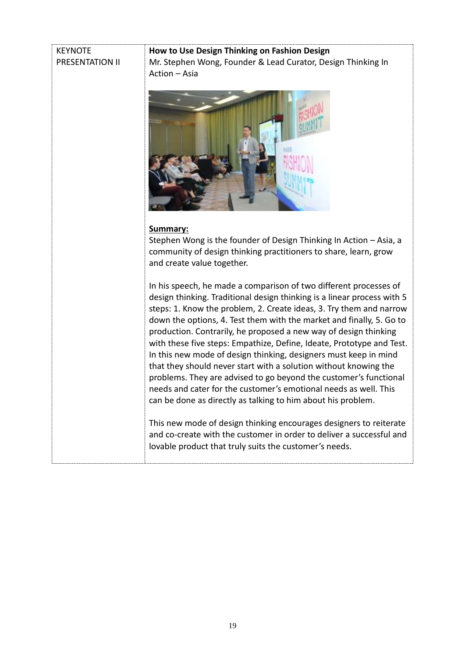#### **KEYNOTE** PRESENTATION II

## **How to Use Design Thinking on Fashion Design** Mr. Stephen Wong, Founder & Lead Curator, Design Thinking In Action – Asia



## **Summary:**

Stephen Wong is the founder of Design Thinking In Action – Asia, a community of design thinking practitioners to share, learn, grow and create value together.

In his speech, he made a comparison of two different processes of design thinking. Traditional design thinking is a linear process with 5 steps: 1. Know the problem, 2. Create ideas, 3. Try them and narrow down the options, 4. Test them with the market and finally, 5. Go to production. Contrarily, he proposed a new way of design thinking with these five steps: Empathize, Define, Ideate, Prototype and Test. In this new mode of design thinking, designers must keep in mind that they should never start with a solution without knowing the problems. They are advised to go beyond the customer's functional needs and cater for the customer's emotional needs as well. This can be done as directly as talking to him about his problem.

This new mode of design thinking encourages designers to reiterate and co-create with the customer in order to deliver a successful and lovable product that truly suits the customer's needs.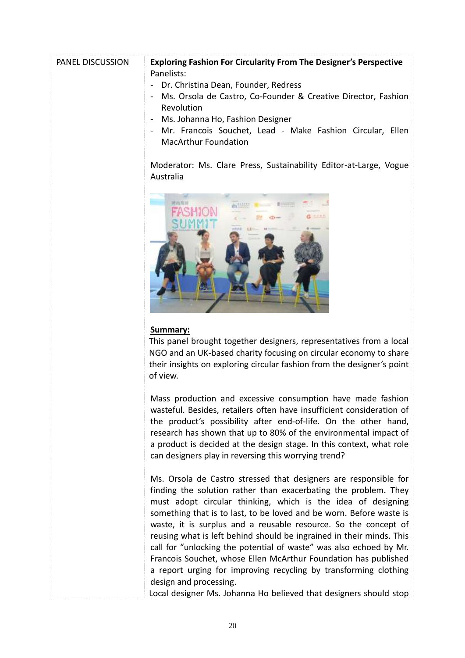| PANEL DISCUSSION | <b>Exploring Fashion For Circularity From The Designer's Perspective</b><br>Panelists:<br>Dr. Christina Dean, Founder, Redress<br>Ms. Orsola de Castro, Co-Founder & Creative Director, Fashion<br>Revolution<br>Ms. Johanna Ho, Fashion Designer<br>Mr. Francois Souchet, Lead - Make Fashion Circular, Ellen<br>$\overline{\phantom{a}}$<br><b>MacArthur Foundation</b>                                                                                                                                                                                                                                                                                                                                                         |
|------------------|-----------------------------------------------------------------------------------------------------------------------------------------------------------------------------------------------------------------------------------------------------------------------------------------------------------------------------------------------------------------------------------------------------------------------------------------------------------------------------------------------------------------------------------------------------------------------------------------------------------------------------------------------------------------------------------------------------------------------------------|
|                  | Moderator: Ms. Clare Press, Sustainability Editor-at-Large, Vogue<br>Australia                                                                                                                                                                                                                                                                                                                                                                                                                                                                                                                                                                                                                                                    |
|                  |                                                                                                                                                                                                                                                                                                                                                                                                                                                                                                                                                                                                                                                                                                                                   |
|                  | Summary:<br>This panel brought together designers, representatives from a local<br>NGO and an UK-based charity focusing on circular economy to share<br>their insights on exploring circular fashion from the designer's point<br>of view.                                                                                                                                                                                                                                                                                                                                                                                                                                                                                        |
|                  | Mass production and excessive consumption have made fashion<br>wasteful. Besides, retailers often have insufficient consideration of<br>the product's possibility after end-of-life. On the other hand,<br>research has shown that up to 80% of the environmental impact of<br>a product is decided at the design stage. In this context, what role<br>can designers play in reversing this worrying trend?                                                                                                                                                                                                                                                                                                                       |
|                  | Ms. Orsola de Castro stressed that designers are responsible for<br>finding the solution rather than exacerbating the problem. They<br>must adopt circular thinking, which is the idea of designing<br>something that is to last, to be loved and be worn. Before waste is<br>waste, it is surplus and a reusable resource. So the concept of<br>reusing what is left behind should be ingrained in their minds. This<br>call for "unlocking the potential of waste" was also echoed by Mr.<br>Francois Souchet, whose Ellen McArthur Foundation has published<br>a report urging for improving recycling by transforming clothing<br>design and processing.<br>Local designer Ms. Johanna Ho believed that designers should stop |

i.....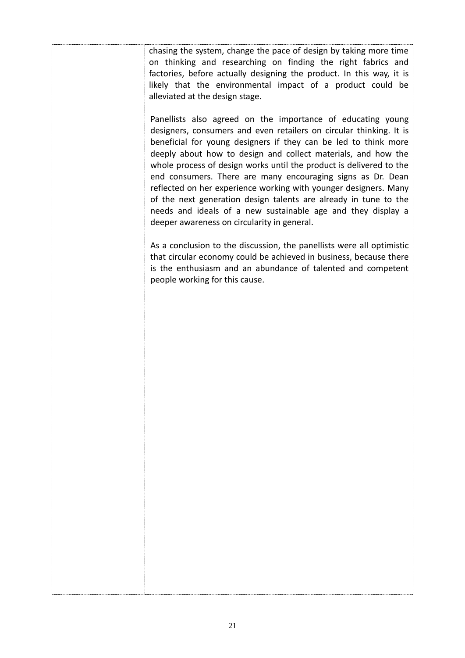chasing the system, change the pace of design by taking more time on thinking and researching on finding the right fabrics and factories, before actually designing the product. In this way, it is likely that the environmental impact of a product could be alleviated at the design stage.

Panellists also agreed on the importance of educating young designers, consumers and even retailers on circular thinking. It is beneficial for young designers if they can be led to think more deeply about how to design and collect materials, and how the whole process of design works until the product is delivered to the end consumers. There are many encouraging signs as Dr. Dean reflected on her experience working with younger designers. Many of the next generation design talents are already in tune to the needs and ideals of a new sustainable age and they display a deeper awareness on circularity in general.

As a conclusion to the discussion, the panellists were all optimistic that circular economy could be achieved in business, because there is the enthusiasm and an abundance of talented and competent people working for this cause.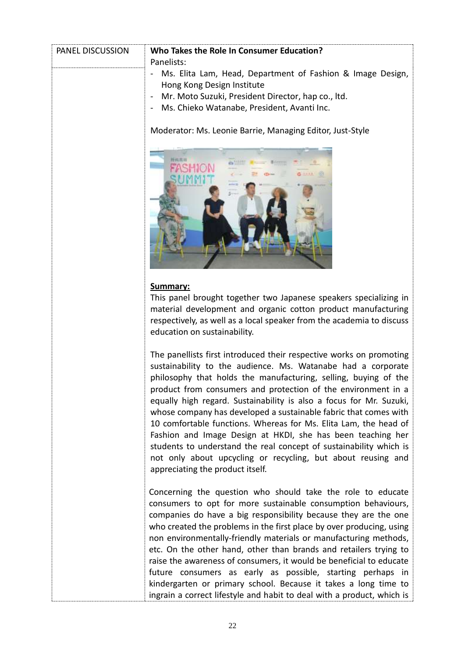| <b>PANEL DISCUSSION</b> | Who Takes the Role In Consumer Education?                    |
|-------------------------|--------------------------------------------------------------|
|                         | Panelists:                                                   |
|                         | - Ms. Elita Lam, Head, Department of Fashion & Image Design, |
|                         | Hong Kong Design Institute                                   |
|                         | - Mr. Moto Suzuki, President Director, hap co., ltd.         |
|                         | - Ms. Chieko Watanabe, President, Avanti Inc.                |
|                         |                                                              |
|                         | Moderator: Ms. Leonie Barrie, Managing Editor, Just-Style    |



## **Summary:**

This panel brought together two Japanese speakers specializing in material development and organic cotton product manufacturing respectively, as well as a local speaker from the academia to discuss education on sustainability.

The panellists first introduced their respective works on promoting sustainability to the audience. Ms. Watanabe had a corporate philosophy that holds the manufacturing, selling, buying of the product from consumers and protection of the environment in a equally high regard. Sustainability is also a focus for Mr. Suzuki, whose company has developed a sustainable fabric that comes with 10 comfortable functions. Whereas for Ms. Elita Lam, the head of Fashion and Image Design at HKDI, she has been teaching her students to understand the real concept of sustainability which is not only about upcycling or recycling, but about reusing and appreciating the product itself.

Concerning the question who should take the role to educate consumers to opt for more sustainable consumption behaviours, companies do have a big responsibility because they are the one who created the problems in the first place by over producing, using non environmentally-friendly materials or manufacturing methods, etc. On the other hand, other than brands and retailers trying to raise the awareness of consumers, it would be beneficial to educate future consumers as early as possible, starting perhaps in kindergarten or primary school. Because it takes a long time to ingrain a correct lifestyle and habit to deal with a product, which is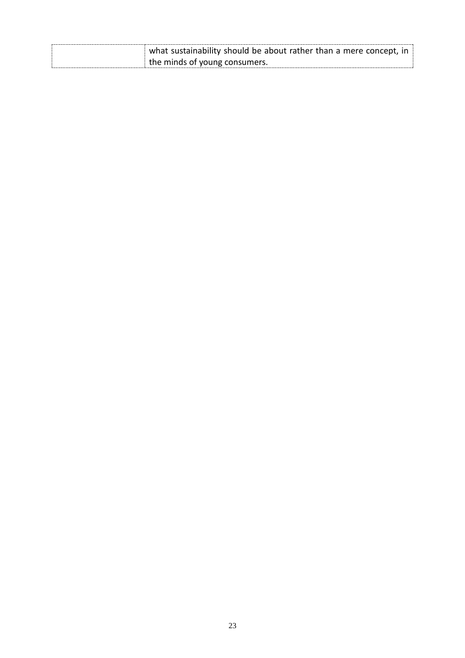| what sustainability should be about rather than a mere concept, in |
|--------------------------------------------------------------------|
| the minds of young consumers.                                      |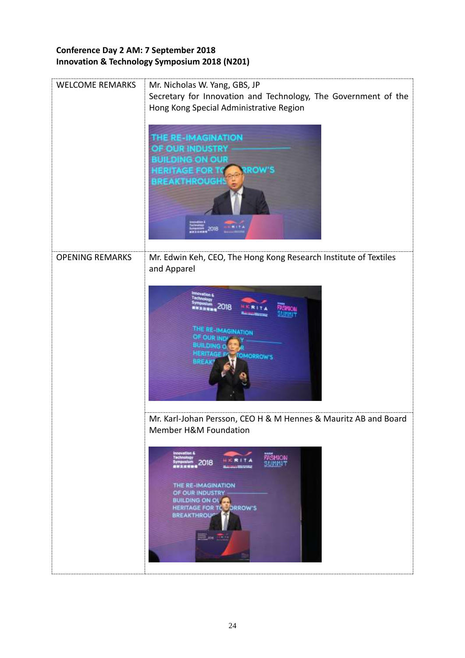## **Conference Day 2 AM: 7 September 2018 Innovation & Technology Symposium 2018 (N201)**

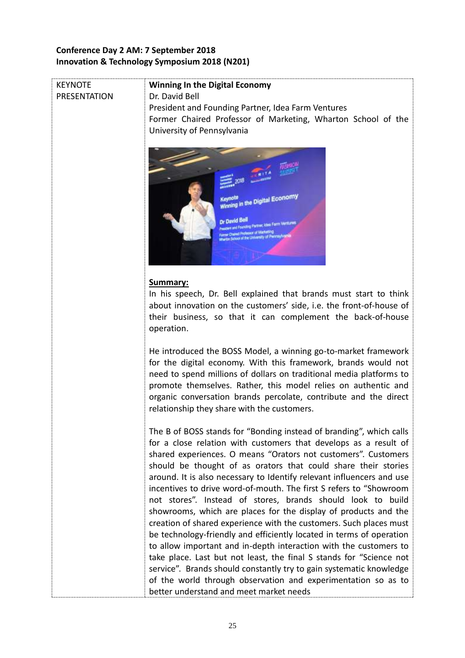# **Conference Day 2 AM: 7 September 2018 Innovation & Technology Symposium 2018 (N201)**

| <b>KEYNOTE</b><br><b>Winning In the Digital Economy</b><br>Dr. David Bell<br><b>PRESENTATION</b><br>President and Founding Partner, Idea Farm Ventures<br>Former Chaired Professor of Marketing, Wharton School of the<br>University of Pennsylvania<br>Winning in the Digital Economy<br>Summary:<br>In his speech, Dr. Bell explained that brands must start to think<br>about innovation on the customers' side, i.e. the front-of-house of<br>their business, so that it can complement the back-of-house<br>operation.<br>He introduced the BOSS Model, a winning go-to-market framework<br>for the digital economy. With this framework, brands would not<br>need to spend millions of dollars on traditional media platforms to<br>promote themselves. Rather, this model relies on authentic and<br>organic conversation brands percolate, contribute and the direct<br>relationship they share with the customers.<br>The B of BOSS stands for "Bonding instead of branding", which calls<br>for a close relation with customers that develops as a result of<br>shared experiences. O means "Orators not customers". Customers<br>should be thought of as orators that could share their stories<br>around. It is also necessary to Identify relevant influencers and use<br>incentives to drive word-of-mouth. The first S refers to "Showroom<br>not stores". Instead of stores, brands should look to build<br>showrooms, which are places for the display of products and the<br>creation of shared experience with the customers. Such places must<br>be technology-friendly and efficiently located in terms of operation<br>to allow important and in-depth interaction with the customers to<br>take place. Last but not least, the final S stands for "Science not<br>service". Brands should constantly try to gain systematic knowledge |                                                               |
|--------------------------------------------------------------------------------------------------------------------------------------------------------------------------------------------------------------------------------------------------------------------------------------------------------------------------------------------------------------------------------------------------------------------------------------------------------------------------------------------------------------------------------------------------------------------------------------------------------------------------------------------------------------------------------------------------------------------------------------------------------------------------------------------------------------------------------------------------------------------------------------------------------------------------------------------------------------------------------------------------------------------------------------------------------------------------------------------------------------------------------------------------------------------------------------------------------------------------------------------------------------------------------------------------------------------------------------------------------------------------------------------------------------------------------------------------------------------------------------------------------------------------------------------------------------------------------------------------------------------------------------------------------------------------------------------------------------------------------------------------------------------------------------------------------------------------------------------------------------|---------------------------------------------------------------|
|                                                                                                                                                                                                                                                                                                                                                                                                                                                                                                                                                                                                                                                                                                                                                                                                                                                                                                                                                                                                                                                                                                                                                                                                                                                                                                                                                                                                                                                                                                                                                                                                                                                                                                                                                                                                                                                              |                                                               |
|                                                                                                                                                                                                                                                                                                                                                                                                                                                                                                                                                                                                                                                                                                                                                                                                                                                                                                                                                                                                                                                                                                                                                                                                                                                                                                                                                                                                                                                                                                                                                                                                                                                                                                                                                                                                                                                              |                                                               |
|                                                                                                                                                                                                                                                                                                                                                                                                                                                                                                                                                                                                                                                                                                                                                                                                                                                                                                                                                                                                                                                                                                                                                                                                                                                                                                                                                                                                                                                                                                                                                                                                                                                                                                                                                                                                                                                              |                                                               |
|                                                                                                                                                                                                                                                                                                                                                                                                                                                                                                                                                                                                                                                                                                                                                                                                                                                                                                                                                                                                                                                                                                                                                                                                                                                                                                                                                                                                                                                                                                                                                                                                                                                                                                                                                                                                                                                              |                                                               |
|                                                                                                                                                                                                                                                                                                                                                                                                                                                                                                                                                                                                                                                                                                                                                                                                                                                                                                                                                                                                                                                                                                                                                                                                                                                                                                                                                                                                                                                                                                                                                                                                                                                                                                                                                                                                                                                              |                                                               |
|                                                                                                                                                                                                                                                                                                                                                                                                                                                                                                                                                                                                                                                                                                                                                                                                                                                                                                                                                                                                                                                                                                                                                                                                                                                                                                                                                                                                                                                                                                                                                                                                                                                                                                                                                                                                                                                              |                                                               |
|                                                                                                                                                                                                                                                                                                                                                                                                                                                                                                                                                                                                                                                                                                                                                                                                                                                                                                                                                                                                                                                                                                                                                                                                                                                                                                                                                                                                                                                                                                                                                                                                                                                                                                                                                                                                                                                              |                                                               |
|                                                                                                                                                                                                                                                                                                                                                                                                                                                                                                                                                                                                                                                                                                                                                                                                                                                                                                                                                                                                                                                                                                                                                                                                                                                                                                                                                                                                                                                                                                                                                                                                                                                                                                                                                                                                                                                              |                                                               |
|                                                                                                                                                                                                                                                                                                                                                                                                                                                                                                                                                                                                                                                                                                                                                                                                                                                                                                                                                                                                                                                                                                                                                                                                                                                                                                                                                                                                                                                                                                                                                                                                                                                                                                                                                                                                                                                              |                                                               |
|                                                                                                                                                                                                                                                                                                                                                                                                                                                                                                                                                                                                                                                                                                                                                                                                                                                                                                                                                                                                                                                                                                                                                                                                                                                                                                                                                                                                                                                                                                                                                                                                                                                                                                                                                                                                                                                              |                                                               |
|                                                                                                                                                                                                                                                                                                                                                                                                                                                                                                                                                                                                                                                                                                                                                                                                                                                                                                                                                                                                                                                                                                                                                                                                                                                                                                                                                                                                                                                                                                                                                                                                                                                                                                                                                                                                                                                              |                                                               |
|                                                                                                                                                                                                                                                                                                                                                                                                                                                                                                                                                                                                                                                                                                                                                                                                                                                                                                                                                                                                                                                                                                                                                                                                                                                                                                                                                                                                                                                                                                                                                                                                                                                                                                                                                                                                                                                              |                                                               |
|                                                                                                                                                                                                                                                                                                                                                                                                                                                                                                                                                                                                                                                                                                                                                                                                                                                                                                                                                                                                                                                                                                                                                                                                                                                                                                                                                                                                                                                                                                                                                                                                                                                                                                                                                                                                                                                              |                                                               |
|                                                                                                                                                                                                                                                                                                                                                                                                                                                                                                                                                                                                                                                                                                                                                                                                                                                                                                                                                                                                                                                                                                                                                                                                                                                                                                                                                                                                                                                                                                                                                                                                                                                                                                                                                                                                                                                              |                                                               |
|                                                                                                                                                                                                                                                                                                                                                                                                                                                                                                                                                                                                                                                                                                                                                                                                                                                                                                                                                                                                                                                                                                                                                                                                                                                                                                                                                                                                                                                                                                                                                                                                                                                                                                                                                                                                                                                              |                                                               |
|                                                                                                                                                                                                                                                                                                                                                                                                                                                                                                                                                                                                                                                                                                                                                                                                                                                                                                                                                                                                                                                                                                                                                                                                                                                                                                                                                                                                                                                                                                                                                                                                                                                                                                                                                                                                                                                              |                                                               |
|                                                                                                                                                                                                                                                                                                                                                                                                                                                                                                                                                                                                                                                                                                                                                                                                                                                                                                                                                                                                                                                                                                                                                                                                                                                                                                                                                                                                                                                                                                                                                                                                                                                                                                                                                                                                                                                              |                                                               |
|                                                                                                                                                                                                                                                                                                                                                                                                                                                                                                                                                                                                                                                                                                                                                                                                                                                                                                                                                                                                                                                                                                                                                                                                                                                                                                                                                                                                                                                                                                                                                                                                                                                                                                                                                                                                                                                              |                                                               |
|                                                                                                                                                                                                                                                                                                                                                                                                                                                                                                                                                                                                                                                                                                                                                                                                                                                                                                                                                                                                                                                                                                                                                                                                                                                                                                                                                                                                                                                                                                                                                                                                                                                                                                                                                                                                                                                              |                                                               |
|                                                                                                                                                                                                                                                                                                                                                                                                                                                                                                                                                                                                                                                                                                                                                                                                                                                                                                                                                                                                                                                                                                                                                                                                                                                                                                                                                                                                                                                                                                                                                                                                                                                                                                                                                                                                                                                              |                                                               |
|                                                                                                                                                                                                                                                                                                                                                                                                                                                                                                                                                                                                                                                                                                                                                                                                                                                                                                                                                                                                                                                                                                                                                                                                                                                                                                                                                                                                                                                                                                                                                                                                                                                                                                                                                                                                                                                              |                                                               |
|                                                                                                                                                                                                                                                                                                                                                                                                                                                                                                                                                                                                                                                                                                                                                                                                                                                                                                                                                                                                                                                                                                                                                                                                                                                                                                                                                                                                                                                                                                                                                                                                                                                                                                                                                                                                                                                              |                                                               |
|                                                                                                                                                                                                                                                                                                                                                                                                                                                                                                                                                                                                                                                                                                                                                                                                                                                                                                                                                                                                                                                                                                                                                                                                                                                                                                                                                                                                                                                                                                                                                                                                                                                                                                                                                                                                                                                              |                                                               |
|                                                                                                                                                                                                                                                                                                                                                                                                                                                                                                                                                                                                                                                                                                                                                                                                                                                                                                                                                                                                                                                                                                                                                                                                                                                                                                                                                                                                                                                                                                                                                                                                                                                                                                                                                                                                                                                              |                                                               |
|                                                                                                                                                                                                                                                                                                                                                                                                                                                                                                                                                                                                                                                                                                                                                                                                                                                                                                                                                                                                                                                                                                                                                                                                                                                                                                                                                                                                                                                                                                                                                                                                                                                                                                                                                                                                                                                              |                                                               |
|                                                                                                                                                                                                                                                                                                                                                                                                                                                                                                                                                                                                                                                                                                                                                                                                                                                                                                                                                                                                                                                                                                                                                                                                                                                                                                                                                                                                                                                                                                                                                                                                                                                                                                                                                                                                                                                              |                                                               |
|                                                                                                                                                                                                                                                                                                                                                                                                                                                                                                                                                                                                                                                                                                                                                                                                                                                                                                                                                                                                                                                                                                                                                                                                                                                                                                                                                                                                                                                                                                                                                                                                                                                                                                                                                                                                                                                              |                                                               |
|                                                                                                                                                                                                                                                                                                                                                                                                                                                                                                                                                                                                                                                                                                                                                                                                                                                                                                                                                                                                                                                                                                                                                                                                                                                                                                                                                                                                                                                                                                                                                                                                                                                                                                                                                                                                                                                              |                                                               |
|                                                                                                                                                                                                                                                                                                                                                                                                                                                                                                                                                                                                                                                                                                                                                                                                                                                                                                                                                                                                                                                                                                                                                                                                                                                                                                                                                                                                                                                                                                                                                                                                                                                                                                                                                                                                                                                              |                                                               |
|                                                                                                                                                                                                                                                                                                                                                                                                                                                                                                                                                                                                                                                                                                                                                                                                                                                                                                                                                                                                                                                                                                                                                                                                                                                                                                                                                                                                                                                                                                                                                                                                                                                                                                                                                                                                                                                              |                                                               |
|                                                                                                                                                                                                                                                                                                                                                                                                                                                                                                                                                                                                                                                                                                                                                                                                                                                                                                                                                                                                                                                                                                                                                                                                                                                                                                                                                                                                                                                                                                                                                                                                                                                                                                                                                                                                                                                              |                                                               |
|                                                                                                                                                                                                                                                                                                                                                                                                                                                                                                                                                                                                                                                                                                                                                                                                                                                                                                                                                                                                                                                                                                                                                                                                                                                                                                                                                                                                                                                                                                                                                                                                                                                                                                                                                                                                                                                              |                                                               |
|                                                                                                                                                                                                                                                                                                                                                                                                                                                                                                                                                                                                                                                                                                                                                                                                                                                                                                                                                                                                                                                                                                                                                                                                                                                                                                                                                                                                                                                                                                                                                                                                                                                                                                                                                                                                                                                              |                                                               |
|                                                                                                                                                                                                                                                                                                                                                                                                                                                                                                                                                                                                                                                                                                                                                                                                                                                                                                                                                                                                                                                                                                                                                                                                                                                                                                                                                                                                                                                                                                                                                                                                                                                                                                                                                                                                                                                              |                                                               |
|                                                                                                                                                                                                                                                                                                                                                                                                                                                                                                                                                                                                                                                                                                                                                                                                                                                                                                                                                                                                                                                                                                                                                                                                                                                                                                                                                                                                                                                                                                                                                                                                                                                                                                                                                                                                                                                              |                                                               |
|                                                                                                                                                                                                                                                                                                                                                                                                                                                                                                                                                                                                                                                                                                                                                                                                                                                                                                                                                                                                                                                                                                                                                                                                                                                                                                                                                                                                                                                                                                                                                                                                                                                                                                                                                                                                                                                              |                                                               |
|                                                                                                                                                                                                                                                                                                                                                                                                                                                                                                                                                                                                                                                                                                                                                                                                                                                                                                                                                                                                                                                                                                                                                                                                                                                                                                                                                                                                                                                                                                                                                                                                                                                                                                                                                                                                                                                              |                                                               |
|                                                                                                                                                                                                                                                                                                                                                                                                                                                                                                                                                                                                                                                                                                                                                                                                                                                                                                                                                                                                                                                                                                                                                                                                                                                                                                                                                                                                                                                                                                                                                                                                                                                                                                                                                                                                                                                              |                                                               |
|                                                                                                                                                                                                                                                                                                                                                                                                                                                                                                                                                                                                                                                                                                                                                                                                                                                                                                                                                                                                                                                                                                                                                                                                                                                                                                                                                                                                                                                                                                                                                                                                                                                                                                                                                                                                                                                              |                                                               |
|                                                                                                                                                                                                                                                                                                                                                                                                                                                                                                                                                                                                                                                                                                                                                                                                                                                                                                                                                                                                                                                                                                                                                                                                                                                                                                                                                                                                                                                                                                                                                                                                                                                                                                                                                                                                                                                              |                                                               |
|                                                                                                                                                                                                                                                                                                                                                                                                                                                                                                                                                                                                                                                                                                                                                                                                                                                                                                                                                                                                                                                                                                                                                                                                                                                                                                                                                                                                                                                                                                                                                                                                                                                                                                                                                                                                                                                              | of the world through observation and experimentation so as to |
| better understand and meet market needs                                                                                                                                                                                                                                                                                                                                                                                                                                                                                                                                                                                                                                                                                                                                                                                                                                                                                                                                                                                                                                                                                                                                                                                                                                                                                                                                                                                                                                                                                                                                                                                                                                                                                                                                                                                                                      |                                                               |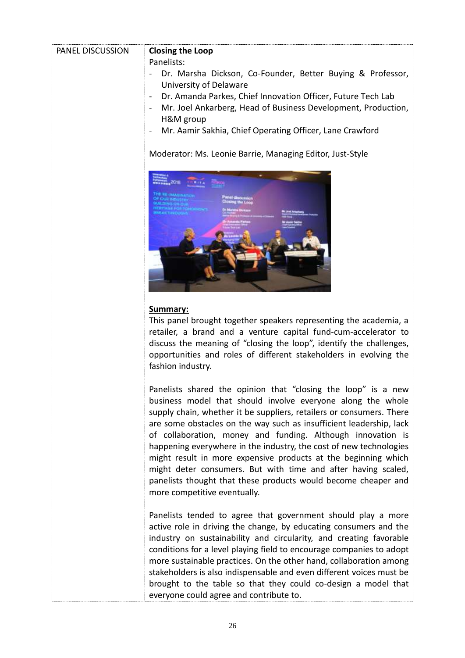| <b>PANEL DISCUSSION</b> | <b>Closing the Loop</b><br>Panelists:                                                                                                                                  |
|-------------------------|------------------------------------------------------------------------------------------------------------------------------------------------------------------------|
|                         | Dr. Marsha Dickson, Co-Founder, Better Buying & Professor,<br>University of Delaware                                                                                   |
|                         | Dr. Amanda Parkes, Chief Innovation Officer, Future Tech Lab<br>Mr. Joel Ankarberg, Head of Business Development, Production,<br>$\overline{\phantom{0}}$<br>H&M group |
|                         | Mr. Aamir Sakhia, Chief Operating Officer, Lane Crawford<br>$\blacksquare$                                                                                             |
|                         | Moderator: Ms. Leonie Barrie, Managing Editor, Just-Style                                                                                                              |



# **Summary:**

This panel brought together speakers representing the academia, a retailer, a brand and a venture capital fund-cum-accelerator to discuss the meaning of "closing the loop", identify the challenges, opportunities and roles of different stakeholders in evolving the fashion industry.

Panelists shared the opinion that "closing the loop" is a new business model that should involve everyone along the whole supply chain, whether it be suppliers, retailers or consumers. There are some obstacles on the way such as insufficient leadership, lack of collaboration, money and funding. Although innovation is happening everywhere in the industry, the cost of new technologies might result in more expensive products at the beginning which might deter consumers. But with time and after having scaled, panelists thought that these products would become cheaper and more competitive eventually.

Panelists tended to agree that government should play a more active role in driving the change, by educating consumers and the industry on sustainability and circularity, and creating favorable conditions for a level playing field to encourage companies to adopt more sustainable practices. On the other hand, collaboration among stakeholders is also indispensable and even different voices must be brought to the table so that they could co-design a model that everyone could agree and contribute to.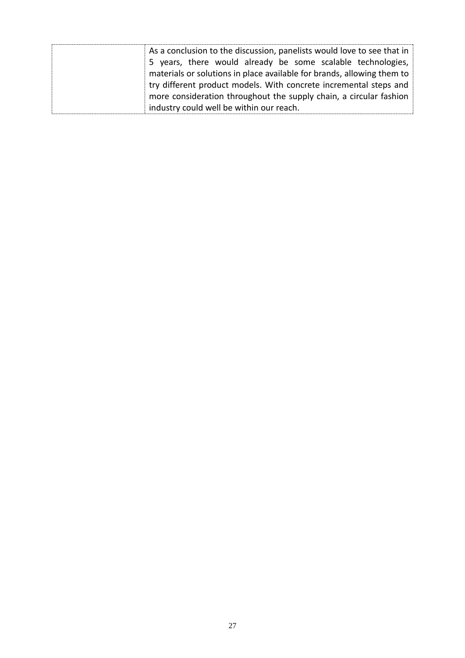| As a conclusion to the discussion, panelists would love to see that in |
|------------------------------------------------------------------------|
| 5 years, there would already be some scalable technologies,            |
| materials or solutions in place available for brands, allowing them to |
| try different product models. With concrete incremental steps and      |
| more consideration throughout the supply chain, a circular fashion     |
| industry could well be within our reach.                               |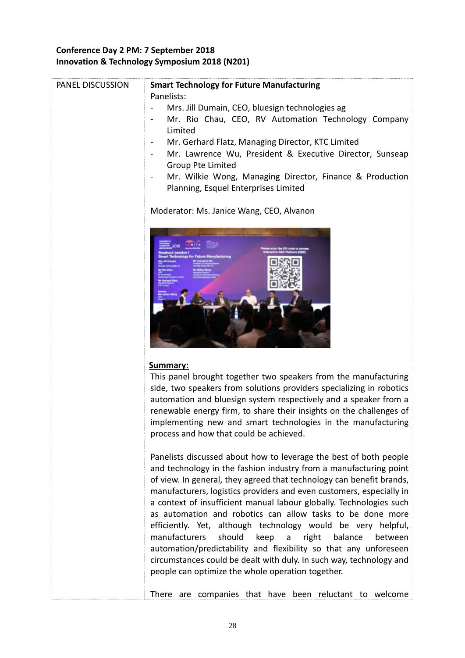# **Conference Day 2 PM: 7 September 2018 Innovation & Technology Symposium 2018 (N201)**

| PANEL DISCUSSION | <b>Smart Technology for Future Manufacturing</b><br>Panelists:                                                                               |
|------------------|----------------------------------------------------------------------------------------------------------------------------------------------|
|                  | Mrs. Jill Dumain, CEO, bluesign technologies ag                                                                                              |
|                  | Mr. Rio Chau, CEO, RV Automation Technology Company                                                                                          |
|                  | Limited                                                                                                                                      |
|                  | Mr. Gerhard Flatz, Managing Director, KTC Limited                                                                                            |
|                  | Mr. Lawrence Wu, President & Executive Director, Sunseap                                                                                     |
|                  | Group Pte Limited                                                                                                                            |
|                  | Mr. Wilkie Wong, Managing Director, Finance & Production<br>Planning, Esquel Enterprises Limited                                             |
|                  |                                                                                                                                              |
|                  | Moderator: Ms. Janice Wang, CEO, Alvanon                                                                                                     |
|                  |                                                                                                                                              |
|                  |                                                                                                                                              |
|                  |                                                                                                                                              |
|                  |                                                                                                                                              |
|                  | Summary:                                                                                                                                     |
|                  | This panel brought together two speakers from the manufacturing                                                                              |
|                  | side, two speakers from solutions providers specializing in robotics                                                                         |
|                  | automation and bluesign system respectively and a speaker from a                                                                             |
|                  | renewable energy firm, to share their insights on the challenges of                                                                          |
|                  | implementing new and smart technologies in the manufacturing<br>process and how that could be achieved.                                      |
|                  |                                                                                                                                              |
|                  | Panelists discussed about how to leverage the best of both people<br>and technology in the fashion industry from a manufacturing point       |
|                  | of view. In general, they agreed that technology can benefit brands,<br>manufacturers, logistics providers and even customers, especially in |
|                  | a context of insufficient manual labour globally. Technologies such<br>as automation and robotics can allow tasks to be done more            |
|                  | efficiently. Yet, although technology would be very helpful,                                                                                 |
|                  | should<br>manufacturers<br>keep<br>right balance<br>a<br>between<br>automation/predictability and flexibility so that any unforeseen         |
|                  | circumstances could be dealt with duly. In such way, technology and                                                                          |
|                  | people can optimize the whole operation together.                                                                                            |
|                  | There are companies that have been reluctant to welcome                                                                                      |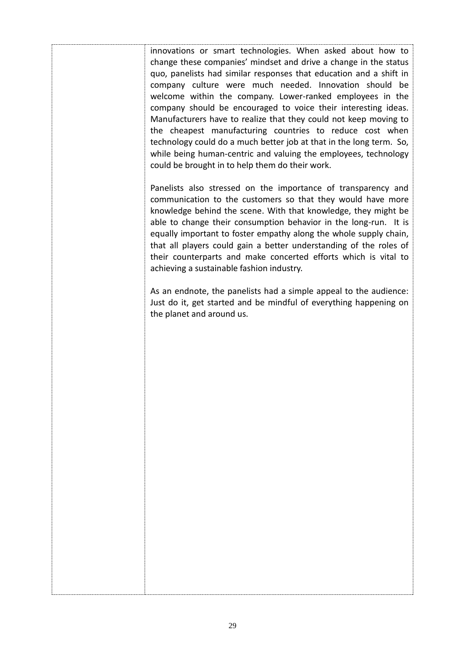innovations or smart technologies. When asked about how to change these companies' mindset and drive a change in the status quo, panelists had similar responses that education and a shift in company culture were much needed. Innovation should be welcome within the company. Lower-ranked employees in the company should be encouraged to voice their interesting ideas. Manufacturers have to realize that they could not keep moving to the cheapest manufacturing countries to reduce cost when technology could do a much better job at that in the long term. So, while being human-centric and valuing the employees, technology could be brought in to help them do their work.

Panelists also stressed on the importance of transparency and communication to the customers so that they would have more knowledge behind the scene. With that knowledge, they might be able to change their consumption behavior in the long-run. It is equally important to foster empathy along the whole supply chain, that all players could gain a better understanding of the roles of their counterparts and make concerted efforts which is vital to achieving a sustainable fashion industry.

As an endnote, the panelists had a simple appeal to the audience: Just do it, get started and be mindful of everything happening on the planet and around us.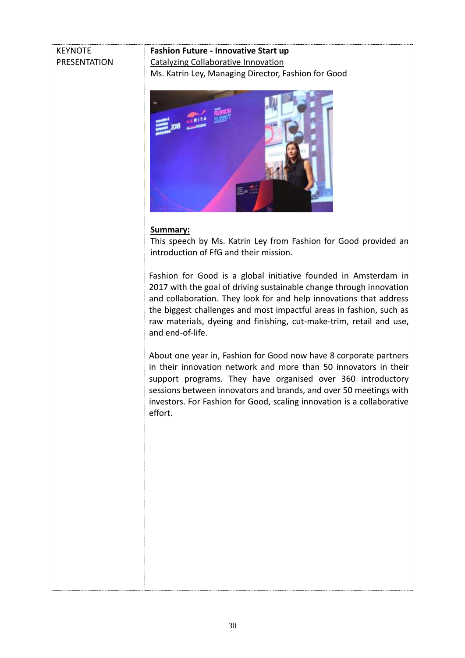#### **KEYNOTE** PRESENTATION

# **Fashion Future - Innovative Start up** Catalyzing Collaborative Innovation Ms. Katrin Ley, Managing Director, Fashion for Good



## **Summary:**

This speech by Ms. Katrin Ley from Fashion for Good provided an introduction of FfG and their mission.

Fashion for Good is a global initiative founded in Amsterdam in 2017 with the goal of driving sustainable change through innovation and collaboration. They look for and help innovations that address the biggest challenges and most impactful areas in fashion, such as raw materials, dyeing and finishing, cut-make-trim, retail and use, and end-of-life.

About one year in, Fashion for Good now have 8 corporate partners in their innovation network and more than 50 innovators in their support programs. They have organised over 360 introductory sessions between innovators and brands, and over 50 meetings with investors. For Fashion for Good, scaling innovation is a collaborative effort.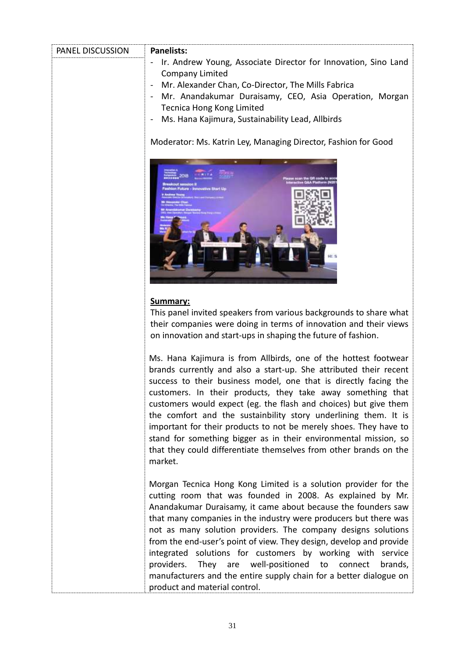| <b>PANEL DISCUSSION</b> | <b>Panelists:</b>                                                                                                                                                                                                                                                                        |  |  |  |
|-------------------------|------------------------------------------------------------------------------------------------------------------------------------------------------------------------------------------------------------------------------------------------------------------------------------------|--|--|--|
|                         | - Ir. Andrew Young, Associate Director for Innovation, Sino Land<br>Company Limited<br>- Mr. Alexander Chan, Co-Director, The Mills Fabrica<br>- Mr. Anandakumar Duraisamy, CEO, Asia Operation, Morgan<br>Tecnica Hong Kong Limited<br>Ms. Hana Kajimura, Sustainability Lead, Allbirds |  |  |  |



## **Summary:**

This panel invited speakers from various backgrounds to share what their companies were doing in terms of innovation and their views on innovation and start-ups in shaping the future of fashion.

Moderator: Ms. Katrin Ley, Managing Director, Fashion for Good

Ms. Hana Kajimura is from Allbirds, one of the hottest footwear brands currently and also a start-up. She attributed their recent success to their business model, one that is directly facing the customers. In their products, they take away something that customers would expect (eg. the flash and choices) but give them the comfort and the sustainbility story underlining them. It is important for their products to not be merely shoes. They have to stand for something bigger as in their environmental mission, so that they could differentiate themselves from other brands on the market.

Morgan Tecnica Hong Kong Limited is a solution provider for the cutting room that was founded in 2008. As explained by Mr. Anandakumar Duraisamy, it came about because the founders saw that many companies in the industry were producers but there was not as many solution providers. The company designs solutions from the end-user's point of view. They design, develop and provide integrated solutions for customers by working with service providers. They are well-positioned to connect brands, manufacturers and the entire supply chain for a better dialogue on product and material control.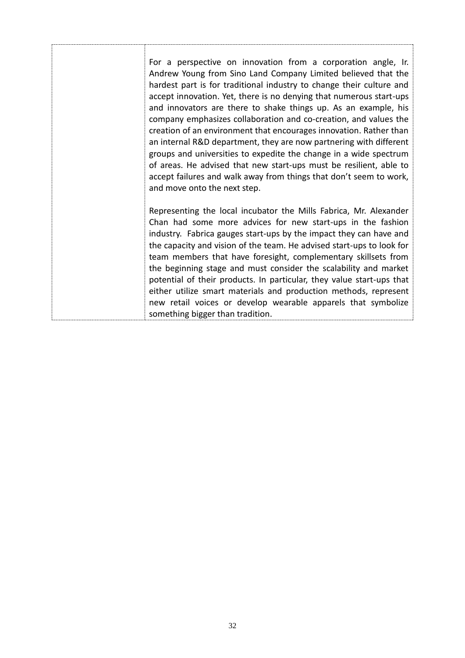For a perspective on innovation from a corporation angle, Ir. Andrew Young from Sino Land Company Limited believed that the hardest part is for traditional industry to change their culture and accept innovation. Yet, there is no denying that numerous start-ups and innovators are there to shake things up. As an example, his company emphasizes collaboration and co-creation, and values the creation of an environment that encourages innovation. Rather than an internal R&D department, they are now partnering with different groups and universities to expedite the change in a wide spectrum of areas. He advised that new start-ups must be resilient, able to accept failures and walk away from things that don't seem to work, and move onto the next step.

Representing the local incubator the Mills Fabrica, Mr. Alexander Chan had some more advices for new start-ups in the fashion industry. Fabrica gauges start-ups by the impact they can have and the capacity and vision of the team. He advised start-ups to look for team members that have foresight, complementary skillsets from the beginning stage and must consider the scalability and market potential of their products. In particular, they value start-ups that either utilize smart materials and production methods, represent new retail voices or develop wearable apparels that symbolize something bigger than tradition.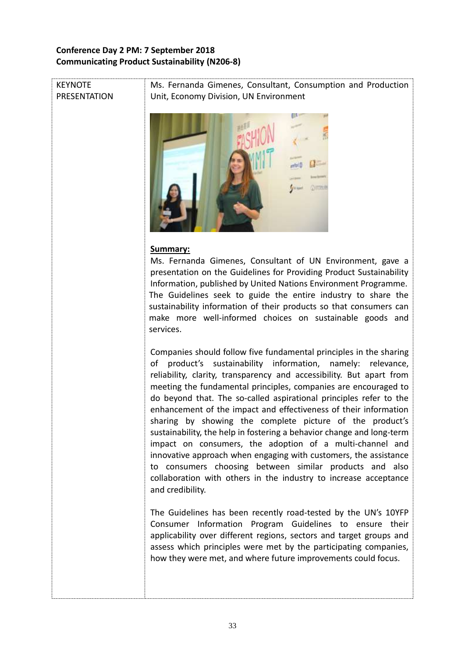## **Conference Day 2 PM: 7 September 2018 Communicating Product Sustainability (N206-8)**

#### **KEYNOTE** PRESENTATION

Ms. Fernanda Gimenes, Consultant, Consumption and Production Unit, Economy Division, UN Environment



# **Summary:**

Ms. Fernanda Gimenes, Consultant of UN Environment, gave a presentation on the Guidelines for Providing Product Sustainability Information, published by United Nations Environment Programme. The Guidelines seek to guide the entire industry to share the sustainability information of their products so that consumers can make more well-informed choices on sustainable goods and services.

Companies should follow five fundamental principles in the sharing of product's sustainability information, namely: relevance, reliability, clarity, transparency and accessibility. But apart from meeting the fundamental principles, companies are encouraged to do beyond that. The so-called aspirational principles refer to the enhancement of the impact and effectiveness of their information sharing by showing the complete picture of the product's sustainability, the help in fostering a behavior change and long-term impact on consumers, the adoption of a multi-channel and innovative approach when engaging with customers, the assistance to consumers choosing between similar products and also collaboration with others in the industry to increase acceptance and credibility.

The Guidelines has been recently road-tested by the UN's 10YFP Consumer Information Program Guidelines to ensure their applicability over different regions, sectors and target groups and assess which principles were met by the participating companies, how they were met, and where future improvements could focus.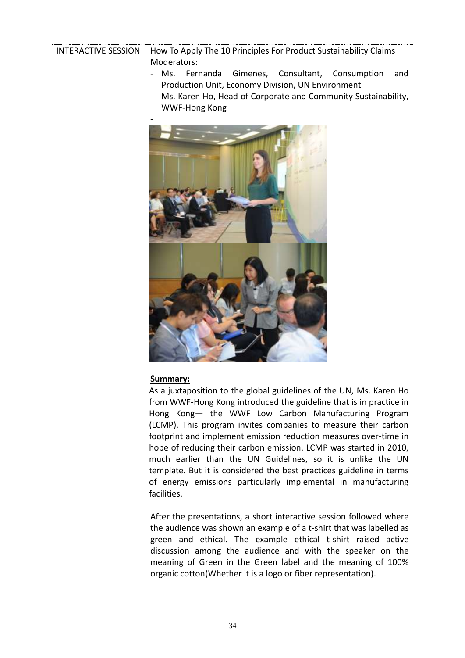# INTERACTIVE SESSION How To Apply The 10 Principles For Product Sustainability Claims

Moderators:

- Ms. Fernanda Gimenes, Consultant, Consumption and Production Unit, Economy Division, UN Environment
- Ms. Karen Ho, Head of Corporate and Community Sustainability, WWF-Hong Kong



## **Summary:**

As a juxtaposition to the global guidelines of the UN, Ms. Karen Ho from WWF-Hong Kong introduced the guideline that is in practice in Hong Kong— the WWF Low Carbon Manufacturing Program (LCMP). This program invites companies to measure their carbon footprint and implement emission reduction measures over-time in hope of reducing their carbon emission. LCMP was started in 2010, much earlier than the UN Guidelines, so it is unlike the UN template. But it is considered the best practices guideline in terms of energy emissions particularly implemental in manufacturing facilities.

After the presentations, a short interactive session followed where the audience was shown an example of a t-shirt that was labelled as green and ethical. The example ethical t-shirt raised active discussion among the audience and with the speaker on the meaning of Green in the Green label and the meaning of 100% organic cotton(Whether it is a logo or fiber representation).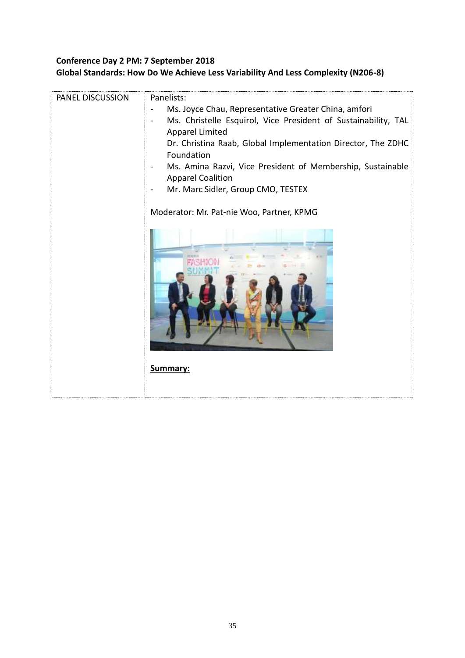# **Conference Day 2 PM: 7 September 2018**

| PANEL DISCUSSION | Panelists:<br>Ms. Joyce Chau, Representative Greater China, amfori<br>Ms. Christelle Esquirol, Vice President of Sustainability, TAL                               |
|------------------|--------------------------------------------------------------------------------------------------------------------------------------------------------------------|
|                  | <b>Apparel Limited</b><br>Dr. Christina Raab, Global Implementation Director, The ZDHC<br>Foundation<br>Ms. Amina Razvi, Vice President of Membership, Sustainable |
|                  | <b>Apparel Coalition</b><br>Mr. Marc Sidler, Group CMO, TESTEX                                                                                                     |
|                  | Moderator: Mr. Pat-nie Woo, Partner, KPMG                                                                                                                          |
|                  | Summary:                                                                                                                                                           |

# **Global Standards: How Do We Achieve Less Variability And Less Complexity (N206-8)**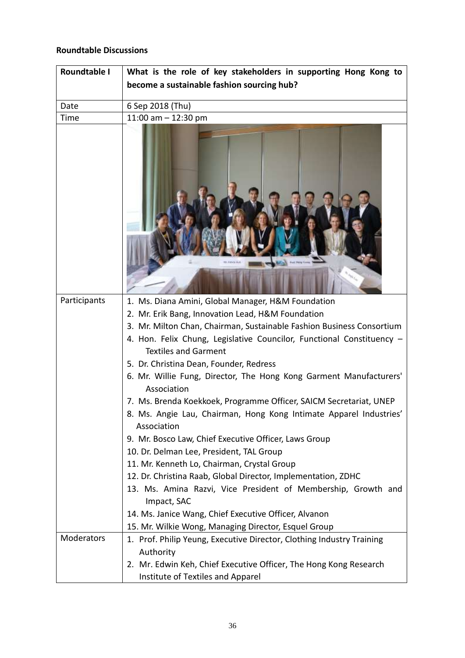## **Roundtable Discussions**

| <b>Roundtable I</b> | What is the role of key stakeholders in supporting Hong Kong to                                                                                         |  |  |
|---------------------|---------------------------------------------------------------------------------------------------------------------------------------------------------|--|--|
|                     | become a sustainable fashion sourcing hub?                                                                                                              |  |  |
| Date                | 6 Sep 2018 (Thu)                                                                                                                                        |  |  |
| Time                | 11:00 am $-$ 12:30 pm                                                                                                                                   |  |  |
|                     |                                                                                                                                                         |  |  |
| Participants        | 1. Ms. Diana Amini, Global Manager, H&M Foundation                                                                                                      |  |  |
|                     | 2. Mr. Erik Bang, Innovation Lead, H&M Foundation                                                                                                       |  |  |
|                     | 3. Mr. Milton Chan, Chairman, Sustainable Fashion Business Consortium                                                                                   |  |  |
|                     | 4. Hon. Felix Chung, Legislative Councilor, Functional Constituency -<br><b>Textiles and Garment</b>                                                    |  |  |
|                     | 5. Dr. Christina Dean, Founder, Redress                                                                                                                 |  |  |
|                     | 6. Mr. Willie Fung, Director, The Hong Kong Garment Manufacturers'<br>Association                                                                       |  |  |
|                     | 7. Ms. Brenda Koekkoek, Programme Officer, SAICM Secretariat, UNEP<br>8. Ms. Angie Lau, Chairman, Hong Kong Intimate Apparel Industries'<br>Association |  |  |
|                     | 9. Mr. Bosco Law, Chief Executive Officer, Laws Group                                                                                                   |  |  |
|                     | 10. Dr. Delman Lee, President, TAL Group                                                                                                                |  |  |
|                     | 11. Mr. Kenneth Lo, Chairman, Crystal Group                                                                                                             |  |  |
|                     | 12. Dr. Christina Raab, Global Director, Implementation, ZDHC                                                                                           |  |  |
|                     | 13. Ms. Amina Razvi, Vice President of Membership, Growth and                                                                                           |  |  |
|                     | Impact, SAC                                                                                                                                             |  |  |
|                     | 14. Ms. Janice Wang, Chief Executive Officer, Alvanon                                                                                                   |  |  |
|                     | 15. Mr. Wilkie Wong, Managing Director, Esquel Group                                                                                                    |  |  |
| Moderators          | 1. Prof. Philip Yeung, Executive Director, Clothing Industry Training                                                                                   |  |  |
|                     | Authority                                                                                                                                               |  |  |
|                     | 2. Mr. Edwin Keh, Chief Executive Officer, The Hong Kong Research                                                                                       |  |  |
|                     | Institute of Textiles and Apparel                                                                                                                       |  |  |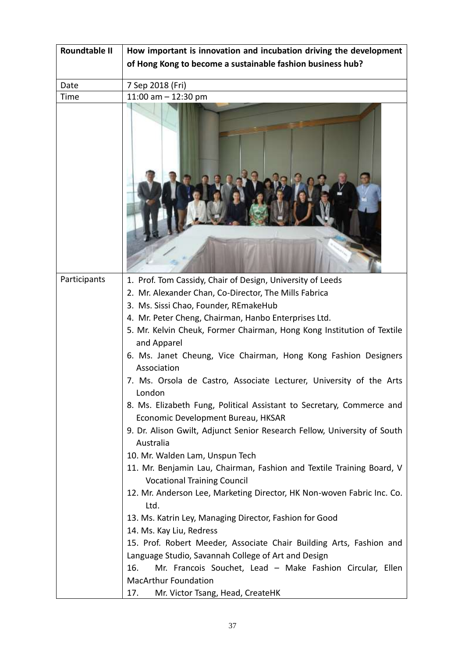| <b>Roundtable II</b> | How important is innovation and incubation driving the development<br>of Hong Kong to become a sustainable fashion business hub? |
|----------------------|----------------------------------------------------------------------------------------------------------------------------------|
| Date                 | 7 Sep 2018 (Fri)                                                                                                                 |
| Time                 | 11:00 am $-$ 12:30 pm                                                                                                            |
|                      |                                                                                                                                  |
|                      |                                                                                                                                  |
| Participants         | 1. Prof. Tom Cassidy, Chair of Design, University of Leeds                                                                       |
|                      | 2. Mr. Alexander Chan, Co-Director, The Mills Fabrica                                                                            |
|                      | 3. Ms. Sissi Chao, Founder, REmakeHub                                                                                            |
|                      | 4. Mr. Peter Cheng, Chairman, Hanbo Enterprises Ltd.                                                                             |
|                      | 5. Mr. Kelvin Cheuk, Former Chairman, Hong Kong Institution of Textile<br>and Apparel                                            |
|                      | 6. Ms. Janet Cheung, Vice Chairman, Hong Kong Fashion Designers<br>Association                                                   |
|                      | 7. Ms. Orsola de Castro, Associate Lecturer, University of the Arts<br>London                                                    |
|                      | 8. Ms. Elizabeth Fung, Political Assistant to Secretary, Commerce and<br>Economic Development Bureau, HKSAR                      |
|                      | 9. Dr. Alison Gwilt, Adjunct Senior Research Fellow, University of South<br>Australia                                            |
|                      | 10. Mr. Walden Lam, Unspun Tech                                                                                                  |
|                      | 11. Mr. Benjamin Lau, Chairman, Fashion and Textile Training Board, V<br><b>Vocational Training Council</b>                      |
|                      | 12. Mr. Anderson Lee, Marketing Director, HK Non-woven Fabric Inc. Co.<br>Ltd.                                                   |
|                      | 13. Ms. Katrin Ley, Managing Director, Fashion for Good                                                                          |
|                      | 14. Ms. Kay Liu, Redress                                                                                                         |
|                      | 15. Prof. Robert Meeder, Associate Chair Building Arts, Fashion and                                                              |
|                      | Language Studio, Savannah College of Art and Design                                                                              |
|                      | Mr. Francois Souchet, Lead - Make Fashion Circular, Ellen<br>16.                                                                 |
|                      | <b>MacArthur Foundation</b>                                                                                                      |
|                      | Mr. Victor Tsang, Head, CreateHK<br>17.                                                                                          |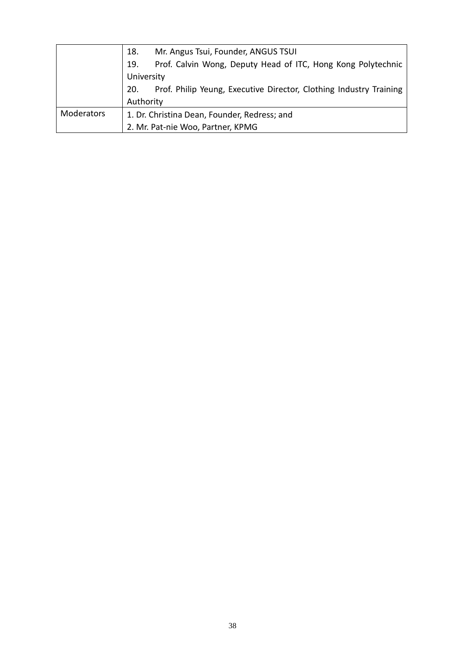|                   | Mr. Angus Tsui, Founder, ANGUS TSUI<br>18.                                |  |  |  |
|-------------------|---------------------------------------------------------------------------|--|--|--|
|                   | Prof. Calvin Wong, Deputy Head of ITC, Hong Kong Polytechnic<br>19.       |  |  |  |
|                   | University                                                                |  |  |  |
|                   | Prof. Philip Yeung, Executive Director, Clothing Industry Training<br>20. |  |  |  |
|                   | Authority                                                                 |  |  |  |
| <b>Moderators</b> | 1. Dr. Christina Dean, Founder, Redress; and                              |  |  |  |
|                   | 2. Mr. Pat-nie Woo, Partner, KPMG                                         |  |  |  |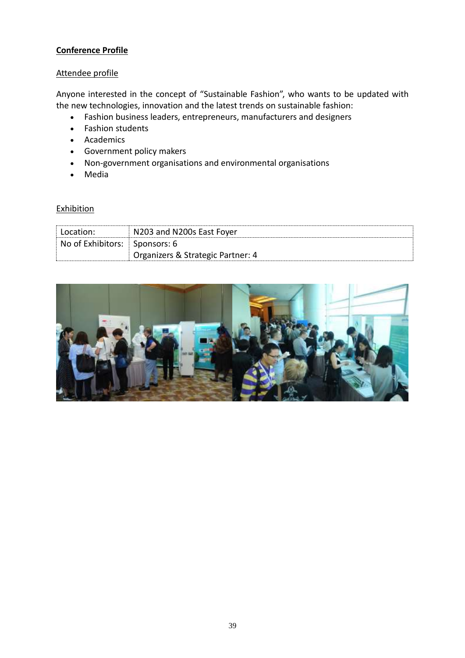# **Conference Profile**

## Attendee profile

Anyone interested in the concept of "Sustainable Fashion", who wants to be updated with the new technologies, innovation and the latest trends on sustainable fashion:

- Fashion business leaders, entrepreneurs, manufacturers and designers
- Fashion students
- Academics
- Government policy makers
- Non-government organisations and environmental organisations
- Media

## **Exhibition**

| Location:                             | N203 and N200s East Foyer         |
|---------------------------------------|-----------------------------------|
| No of Exhibitors: $\vert$ Sponsors: 6 |                                   |
|                                       | Organizers & Strategic Partner: 4 |

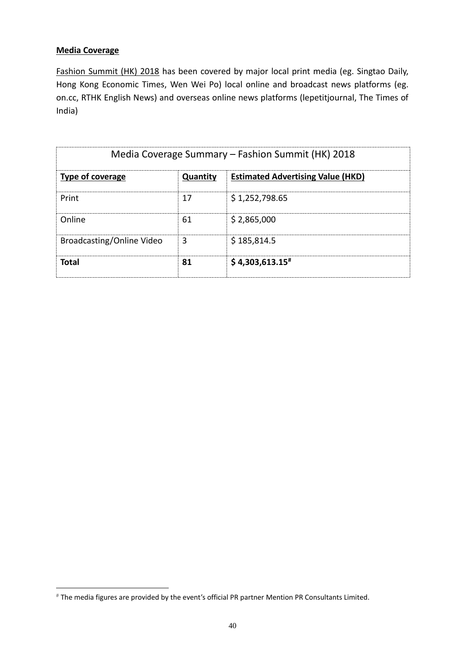## **Media Coverage**

Fashion Summit (HK) 2018 has been covered by major local print media (eg. Singtao Daily, Hong Kong Economic Times, Wen Wei Po) local online and broadcast news platforms (eg. on.cc, RTHK English News) and overseas online news platforms (lepetitjournal, The Times of India)

| Media Coverage Summary – Fashion Summit (HK) 2018 |          |                                          |
|---------------------------------------------------|----------|------------------------------------------|
| Type of coverage                                  | Quantity | <b>Estimated Advertising Value (HKD)</b> |
| Print                                             | 17       | \$1,252,798.65                           |
| Online                                            | 61       | \$2,865,000                              |
| Broadcasting/Online Video                         | 3        | \$185,814.5                              |
| Total                                             | 81       | $$4,303,613.15$ #                        |

<sup>#</sup> The media figures are provided by the event's official PR partner Mention PR Consultants Limited.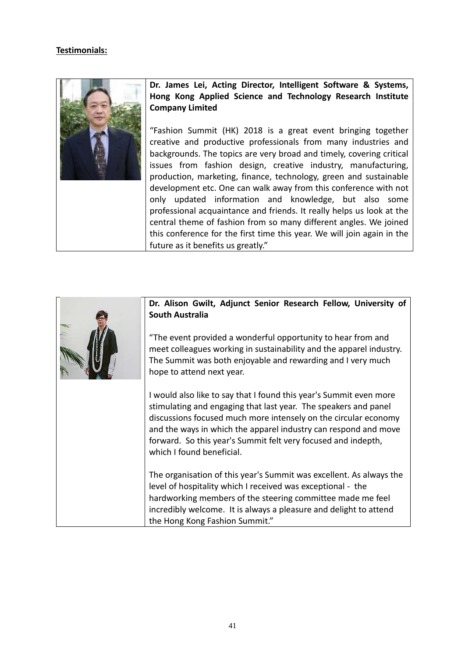## **Testimonials:**



**Dr. James Lei, Acting Director, Intelligent Software & Systems, Hong Kong Applied Science and Technology Research Institute Company Limited**

"Fashion Summit (HK) 2018 is a great event bringing together creative and productive professionals from many industries and backgrounds. The topics are very broad and timely, covering critical issues from fashion design, creative industry, manufacturing, production, marketing, finance, technology, green and sustainable development etc. One can walk away from this conference with not only updated information and knowledge, but also some professional acquaintance and friends. It really helps us look at the central theme of fashion from so many different angles. We joined this conference for the first time this year. We will join again in the future as it benefits us greatly."



## **Dr. Alison Gwilt, Adjunct Senior Research Fellow, University of South Australia**

"The event provided a wonderful opportunity to hear from and meet colleagues working in sustainability and the apparel industry. The Summit was both enjoyable and rewarding and I very much hope to attend next year.

I would also like to say that I found this year's Summit even more stimulating and engaging that last year. The speakers and panel discussions focused much more intensely on the circular economy and the ways in which the apparel industry can respond and move forward. So this year's Summit felt very focused and indepth, which I found beneficial.

The organisation of this year's Summit was excellent. As always the level of hospitality which I received was exceptional - the hardworking members of the steering committee made me feel incredibly welcome. It is always a pleasure and delight to attend the Hong Kong Fashion Summit."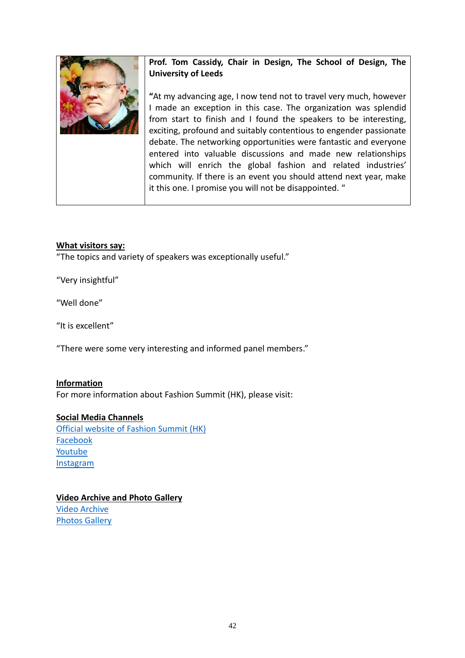

# **Prof. Tom Cassidy, Chair in Design, The School of Design, The University of Leeds**

**"**At my advancing age, I now tend not to travel very much, however I made an exception in this case. The organization was splendid from start to finish and I found the speakers to be interesting, exciting, profound and suitably contentious to engender passionate debate. The networking opportunities were fantastic and everyone entered into valuable discussions and made new relationships which will enrich the global fashion and related industries' community. If there is an event you should attend next year, make it this one. I promise you will not be disappointed. "

## **What visitors say:**

"The topics and variety of speakers was exceptionally useful."

"Very insightful"

"Well done"

"It is excellent"

"There were some very interesting and informed panel members."

## **Information**

For more information about Fashion Summit (HK), please visit:

## **Social Media Channels**

Official [website of Fashion Summit \(HK\)](http://www.fashionsummit.hk/) [Facebook](https://www.facebook.com/fashionsummithk2018/) [Youtube](https://www.youtube.com/channel/UCk71VdEOS6qI9GmmfCpHk7w) **[Instagram](https://www.instagram.com/fashionsummithk2018/)** 

# **Video Archive and Photo Gallery**

[Video Archive](https://novacast.nova.hk/events/fs2018/index) [Photos Gallery](http://www.fashionsummit.hk/index.php/en/events/photo-albums)